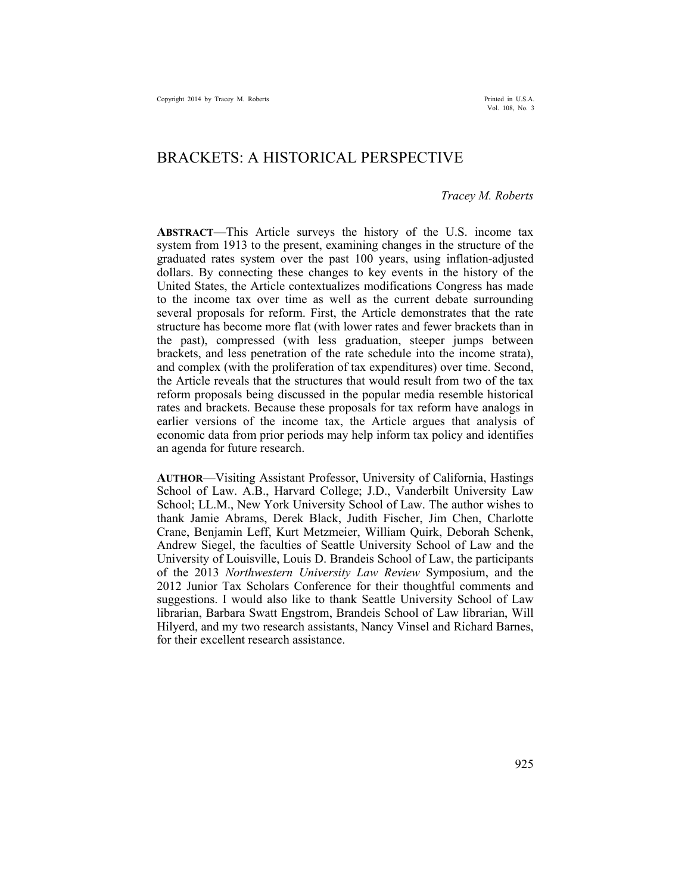# BRACKETS: A HISTORICAL PERSPECTIVE

#### *Tracey M. Roberts*

**ABSTRACT**—This Article surveys the history of the U.S. income tax system from 1913 to the present, examining changes in the structure of the graduated rates system over the past 100 years, using inflation-adjusted dollars. By connecting these changes to key events in the history of the United States, the Article contextualizes modifications Congress has made to the income tax over time as well as the current debate surrounding several proposals for reform. First, the Article demonstrates that the rate structure has become more flat (with lower rates and fewer brackets than in the past), compressed (with less graduation, steeper jumps between brackets, and less penetration of the rate schedule into the income strata), and complex (with the proliferation of tax expenditures) over time. Second, the Article reveals that the structures that would result from two of the tax reform proposals being discussed in the popular media resemble historical rates and brackets. Because these proposals for tax reform have analogs in earlier versions of the income tax, the Article argues that analysis of economic data from prior periods may help inform tax policy and identifies an agenda for future research.

**AUTHOR**—Visiting Assistant Professor, University of California, Hastings School of Law. A.B., Harvard College; J.D., Vanderbilt University Law School; LL.M., New York University School of Law. The author wishes to thank Jamie Abrams, Derek Black, Judith Fischer, Jim Chen, Charlotte Crane, Benjamin Leff, Kurt Metzmeier, William Quirk, Deborah Schenk, Andrew Siegel, the faculties of Seattle University School of Law and the University of Louisville, Louis D. Brandeis School of Law, the participants of the 2013 *Northwestern University Law Review* Symposium, and the 2012 Junior Tax Scholars Conference for their thoughtful comments and suggestions. I would also like to thank Seattle University School of Law librarian, Barbara Swatt Engstrom, Brandeis School of Law librarian, Will Hilyerd, and my two research assistants, Nancy Vinsel and Richard Barnes, for their excellent research assistance.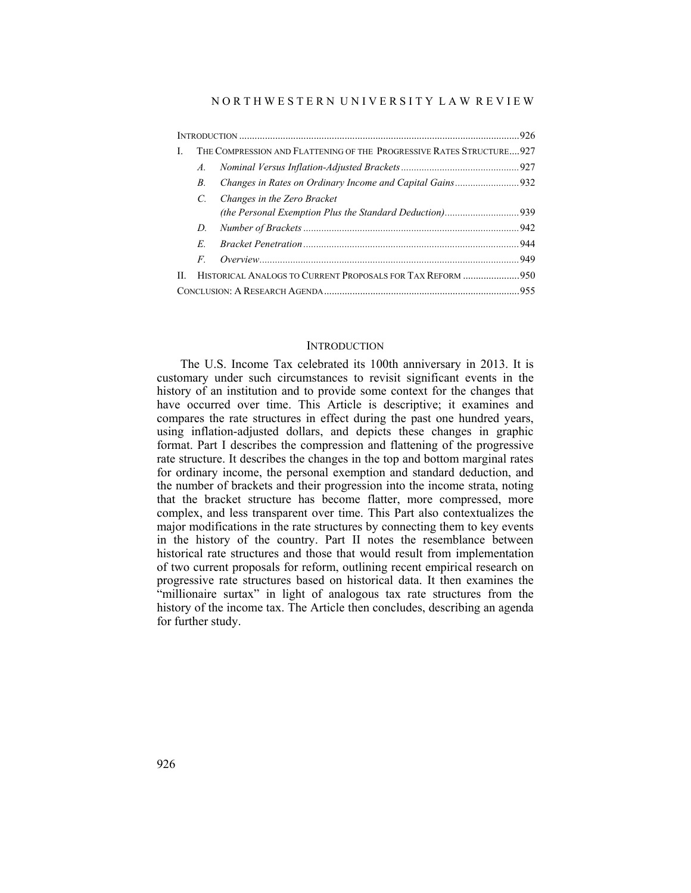| L  | THE COMPRESSION AND FLATTENING OF THE PROGRESSIVE RATES STRUCTURE 927 |                             |  |  |  |  |
|----|-----------------------------------------------------------------------|-----------------------------|--|--|--|--|
|    | $A_{\cdot}$                                                           |                             |  |  |  |  |
|    | B.                                                                    |                             |  |  |  |  |
|    | $\mathcal{C}$                                                         | Changes in the Zero Bracket |  |  |  |  |
|    | D.                                                                    |                             |  |  |  |  |
|    | E                                                                     |                             |  |  |  |  |
|    | $\overline{F}$                                                        |                             |  |  |  |  |
| H. | HISTORICAL ANALOGS TO CURRENT PROPOSALS FOR TAX REFORM 950            |                             |  |  |  |  |
|    |                                                                       |                             |  |  |  |  |

### **INTRODUCTION**

The U.S. Income Tax celebrated its 100th anniversary in 2013. It is customary under such circumstances to revisit significant events in the history of an institution and to provide some context for the changes that have occurred over time. This Article is descriptive; it examines and compares the rate structures in effect during the past one hundred years, using inflation-adjusted dollars, and depicts these changes in graphic format. Part I describes the compression and flattening of the progressive rate structure. It describes the changes in the top and bottom marginal rates for ordinary income, the personal exemption and standard deduction, and the number of brackets and their progression into the income strata, noting that the bracket structure has become flatter, more compressed, more complex, and less transparent over time. This Part also contextualizes the major modifications in the rate structures by connecting them to key events in the history of the country. Part II notes the resemblance between historical rate structures and those that would result from implementation of two current proposals for reform, outlining recent empirical research on progressive rate structures based on historical data. It then examines the "millionaire surtax" in light of analogous tax rate structures from the history of the income tax. The Article then concludes, describing an agenda for further study.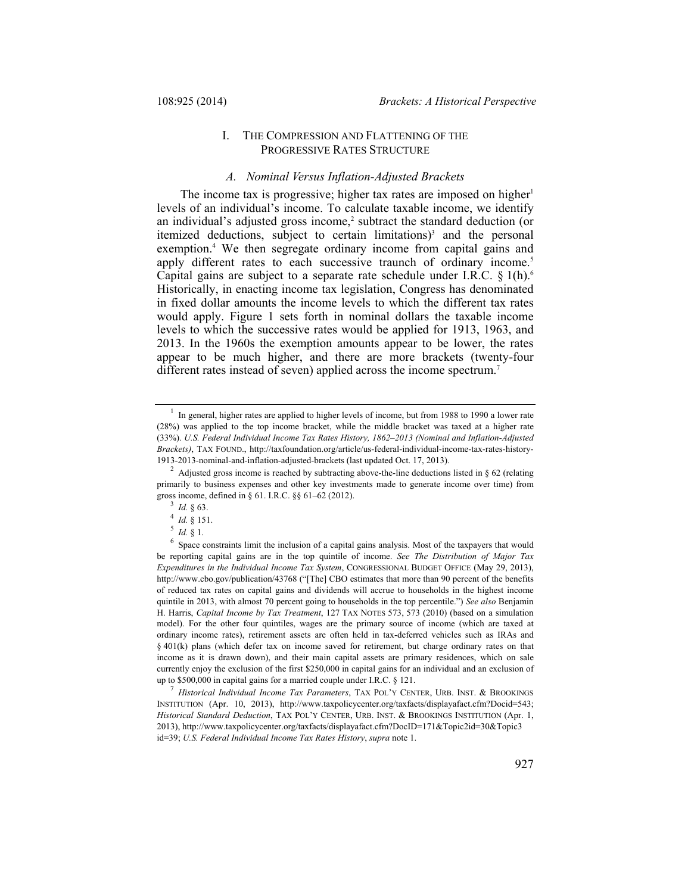# I. THE COMPRESSION AND FLATTENING OF THE PROGRESSIVE RATES STRUCTURE

### *A. Nominal Versus Inflation-Adjusted Brackets*

The income tax is progressive; higher tax rates are imposed on higher<sup>1</sup> levels of an individual's income. To calculate taxable income, we identify an individual's adjusted gross income,<sup>2</sup> subtract the standard deduction (or itemized deductions, subject to certain limitations)<sup>3</sup> and the personal exemption.<sup>4</sup> We then segregate ordinary income from capital gains and apply different rates to each successive traunch of ordinary income.<sup>5</sup> Capital gains are subject to a separate rate schedule under I.R.C.  $\S$  1(h).<sup>6</sup> Historically, in enacting income tax legislation, Congress has denominated in fixed dollar amounts the income levels to which the different tax rates would apply. Figure 1 sets forth in nominal dollars the taxable income levels to which the successive rates would be applied for 1913, 1963, and 2013. In the 1960s the exemption amounts appear to be lower, the rates appear to be much higher, and there are more brackets (twenty-four different rates instead of seven) applied across the income spectrum.<sup>7</sup>

In general, higher rates are applied to higher levels of income, but from 1988 to 1990 a lower rate (28%) was applied to the top income bracket, while the middle bracket was taxed at a higher rate (33%). *U.S. Federal Individual Income Tax Rates History, 1862–2013 (Nominal and Inflation-Adjusted Brackets)*, TAX FOUND., http://taxfoundation.org/article/us-federal-individual-income-tax-rates-history-1913-2013-nominal-and-inflation-adjusted-brackets (last updated Oct. 17, 2013).

<sup>2</sup> Adjusted gross income is reached by subtracting above-the-line deductions listed in § 62 (relating primarily to business expenses and other key investments made to generate income over time) from gross income, defined in § 61. I.R.C. §§ 61–62 (2012).<br><sup>3</sup> *Id.* § 63.<br><sup>4</sup> *Id.* § 151.<br>5 *Id.* § 1.

<sup>&</sup>lt;sup>6</sup> Space constraints limit the inclusion of a capital gains analysis. Most of the taxpayers that would be reporting capital gains are in the top quintile of income. *See The Distribution of Major Tax Expenditures in the Individual Income Tax System*, CONGRESSIONAL BUDGET OFFICE (May 29, 2013), http://www.cbo.gov/publication/43768 ("[The] CBO estimates that more than 90 percent of the benefits of reduced tax rates on capital gains and dividends will accrue to households in the highest income quintile in 2013, with almost 70 percent going to households in the top percentile.") *See also* Benjamin H. Harris, *Capital Income by Tax Treatment*, 127 TAX NOTES 573, 573 (2010) (based on a simulation model). For the other four quintiles, wages are the primary source of income (which are taxed at ordinary income rates), retirement assets are often held in tax-deferred vehicles such as IRAs and  $§$  401(k) plans (which defer tax on income saved for retirement, but charge ordinary rates on that income as it is drawn down), and their main capital assets are primary residences, which on sale currently enjoy the exclusion of the first \$250,000 in capital gains for an individual and an exclusion of up to \$500,000 in capital gains for a married couple under I.R.C. § 121. 7 *Historical Individual Income Tax Parameters*, TAX POL'Y CENTER, URB. INST. & BROOKINGS

INSTITUTION (Apr. 10, 2013), http://www.taxpolicycenter.org/taxfacts/displayafact.cfm?Docid=543; *Historical Standard Deduction*, TAX POL'Y CENTER, URB. INST. & BROOKINGS INSTITUTION (Apr. 1, 2013), http://www.taxpolicycenter.org/taxfacts/displayafact.cfm?DocID=171&Topic2id=30&Topic3 id=39; *U.S. Federal Individual Income Tax Rates History*, *supra* note 1.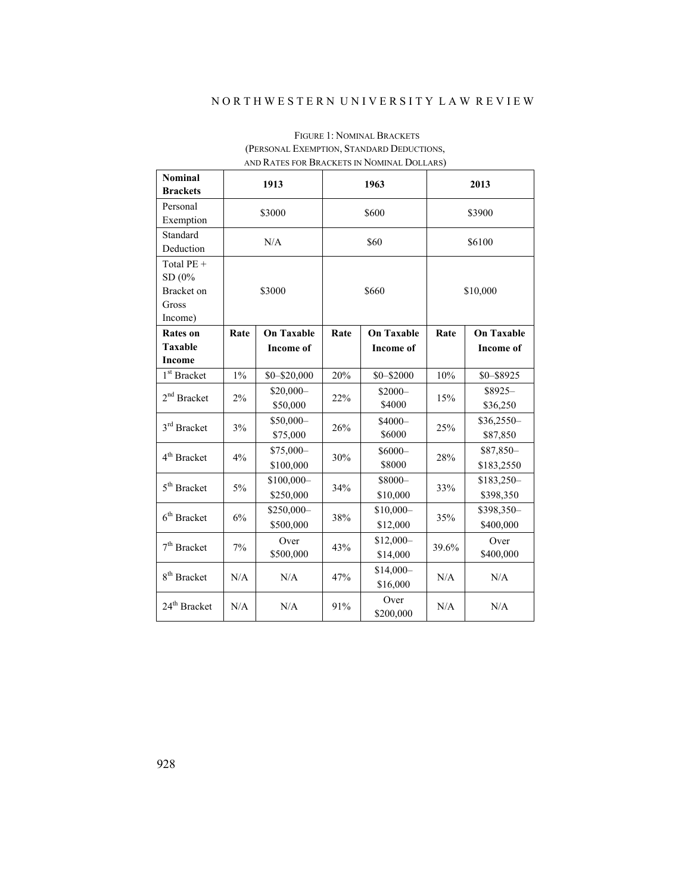# N O R T H W E S T E R N U N I V E R S I T Y L A W R E V I E W

| <b>Nominal</b><br><b>Brackets</b>     | 1913   |                         | 1963  |                        | 2013     |                         |
|---------------------------------------|--------|-------------------------|-------|------------------------|----------|-------------------------|
| Personal<br>Exemption                 | \$3000 |                         | \$600 |                        | \$3900   |                         |
| Standard<br>Deduction                 | N/A    |                         | \$60  |                        | \$6100   |                         |
| Total PE +<br>SD (0%                  |        |                         |       |                        |          |                         |
| <b>Bracket</b> on<br>Gross<br>Income) | \$3000 |                         | \$660 |                        | \$10,000 |                         |
| <b>Rates on</b>                       | Rate   | <b>On Taxable</b>       | Rate  | <b>On Taxable</b>      | Rate     | <b>On Taxable</b>       |
| <b>Taxable</b>                        |        | <b>Income of</b>        |       | <b>Income of</b>       |          | <b>Income of</b>        |
| <b>Income</b>                         |        |                         |       |                        |          |                         |
| 1 <sup>st</sup> Bracket               | $1\%$  | $$0 - $20,000$          | 20%   | $$0 - $2000$           | 10%      | $$0 - $8925$            |
| $2nd$ Bracket                         | 2%     | $$20,000-$<br>\$50,000  | 22%   | $$2000-$<br>\$4000     | 15%      | \$8925-<br>\$36,250     |
| 3rd Bracket                           | 3%     | \$50,000-<br>\$75,000   | 26%   | $$4000-$<br>\$6000     | 25%      | $$36,2550-$<br>\$87,850 |
| 4 <sup>th</sup> Bracket               | 4%     | \$75,000-<br>\$100,000  | 30%   | $$6000-$<br>\$8000     | 28%      | \$87,850-<br>\$183,2550 |
| 5 <sup>th</sup> Bracket               | 5%     | \$100,000-<br>\$250,000 | 34%   | \$8000-<br>\$10,000    | 33%      | \$183,250-<br>\$398,350 |
| $6th$ Bracket                         | 6%     | \$250,000-<br>\$500,000 | 38%   | $$10,000-$<br>\$12,000 | 35%      | \$398,350-<br>\$400,000 |
| $7th$ Bracket                         | 7%     | Over<br>\$500,000       | 43%   | $$12,000-$<br>\$14,000 | 39.6%    | Over<br>\$400,000       |
| 8 <sup>th</sup> Bracket               | N/A    | N/A                     | 47%   | $$14,000-$<br>\$16,000 | N/A      | N/A                     |
| 24 <sup>th</sup> Bracket              | N/A    | N/A                     | 91%   | Over<br>\$200,000      | N/A      | N/A                     |

# FIGURE 1: NOMINAL BRACKETS (PERSONAL EXEMPTION, STANDARD DEDUCTIONS, AND RATES FOR BRACKETS IN NOMINAL DOLLARS)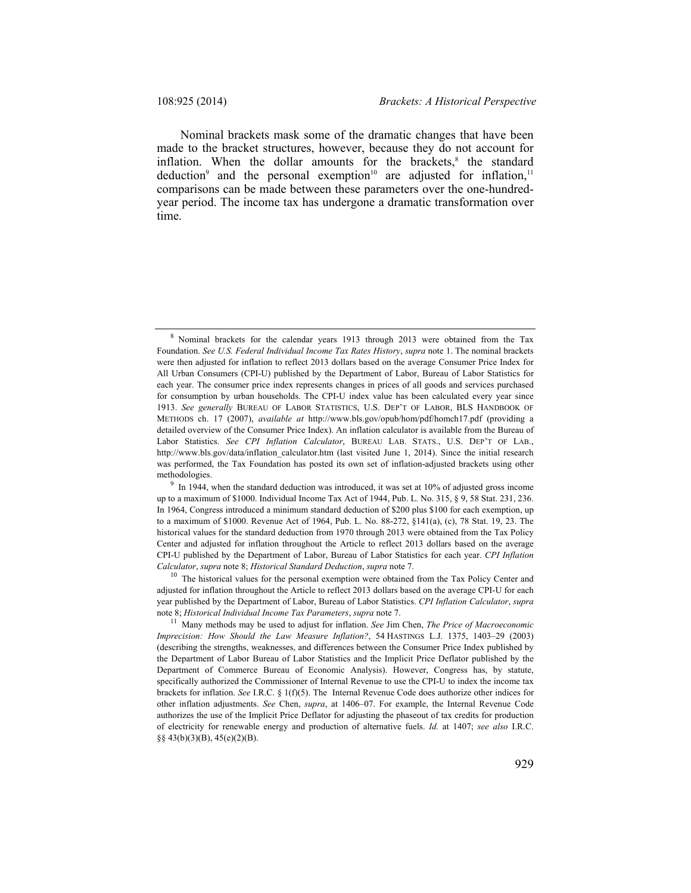Nominal brackets mask some of the dramatic changes that have been made to the bracket structures, however, because they do not account for inflation. When the dollar amounts for the brackets, $8$  the standard deduction<sup>9</sup> and the personal exemption<sup>10</sup> are adjusted for inflation,<sup>11</sup> comparisons can be made between these parameters over the one-hundredyear period. The income tax has undergone a dramatic transformation over time.

adjusted for inflation throughout the Article to reflect 2013 dollars based on the average CPI-U for each year published by the Department of Labor, Bureau of Labor Statistics. *CPI Inflation Calculator*, *supra*  note 8; *Historical Individual Income Tax Parameters*, *supra* note 7.<br><sup>11</sup> Many methods may be used to adjust for inflation. *See Jim Chen, The Price of Macroeconomic* 

<sup>8</sup> Nominal brackets for the calendar years 1913 through 2013 were obtained from the Tax Foundation. *See U.S. Federal Individual Income Tax Rates History*, *supra* note 1. The nominal brackets were then adjusted for inflation to reflect 2013 dollars based on the average Consumer Price Index for All Urban Consumers (CPI-U) published by the Department of Labor, Bureau of Labor Statistics for each year. The consumer price index represents changes in prices of all goods and services purchased for consumption by urban households. The CPI-U index value has been calculated every year since 1913. *See generally* BUREAU OF LABOR STATISTICS, U.S. DEP'T OF LABOR, BLS HANDBOOK OF METHODS ch. 17 (2007), *available at* http://www.bls.gov/opub/hom/pdf/homch17.pdf (providing a detailed overview of the Consumer Price Index). An inflation calculator is available from the Bureau of Labor Statistics. *See CPI Inflation Calculator*, BUREAU LAB. STATS., U.S. DEP'T OF LAB., http://www.bls.gov/data/inflation\_calculator.htm (last visited June 1, 2014). Since the initial research was performed, the Tax Foundation has posted its own set of inflation-adjusted brackets using other

methodologies.<br><sup>9</sup> In 1944, when the standard deduction was introduced, it was set at 10% of adjusted gross income up to a maximum of \$1000. Individual Income Tax Act of 1944, Pub. L. No. 315, § 9, 58 Stat. 231, 236. In 1964, Congress introduced a minimum standard deduction of \$200 plus \$100 for each exemption, up to a maximum of \$1000. Revenue Act of 1964, Pub. L. No. 88-272, §141(a), (c), 78 Stat. 19, 23. The historical values for the standard deduction from 1970 through 2013 were obtained from the Tax Policy Center and adjusted for inflation throughout the Article to reflect 2013 dollars based on the average CPI-U published by the Department of Labor, Bureau of Labor Statistics for each year. *CPI Inflation Calculator*, *supra* note 8; *Historical Standard Deduction*, *supra* note 7.<br><sup>10</sup> The historical values for the personal exemption were obtained from the Tax Policy Center and

*Imprecision: How Should the Law Measure Inflation?*, 54 HASTINGS L.J. 1375, 1403–29 (2003) (describing the strengths, weaknesses, and differences between the Consumer Price Index published by the Department of Labor Bureau of Labor Statistics and the Implicit Price Deflator published by the Department of Commerce Bureau of Economic Analysis). However, Congress has, by statute, specifically authorized the Commissioner of Internal Revenue to use the CPI-U to index the income tax brackets for inflation. *See* I.R.C. § 1(f)(5). The Internal Revenue Code does authorize other indices for other inflation adjustments. *See* Chen, *supra*, at 1406–07. For example, the Internal Revenue Code authorizes the use of the Implicit Price Deflator for adjusting the phaseout of tax credits for production of electricity for renewable energy and production of alternative fuels. *Id.* at 1407; *see also* I.R.C. §§ 43(b)(3)(B), 45(e)(2)(B).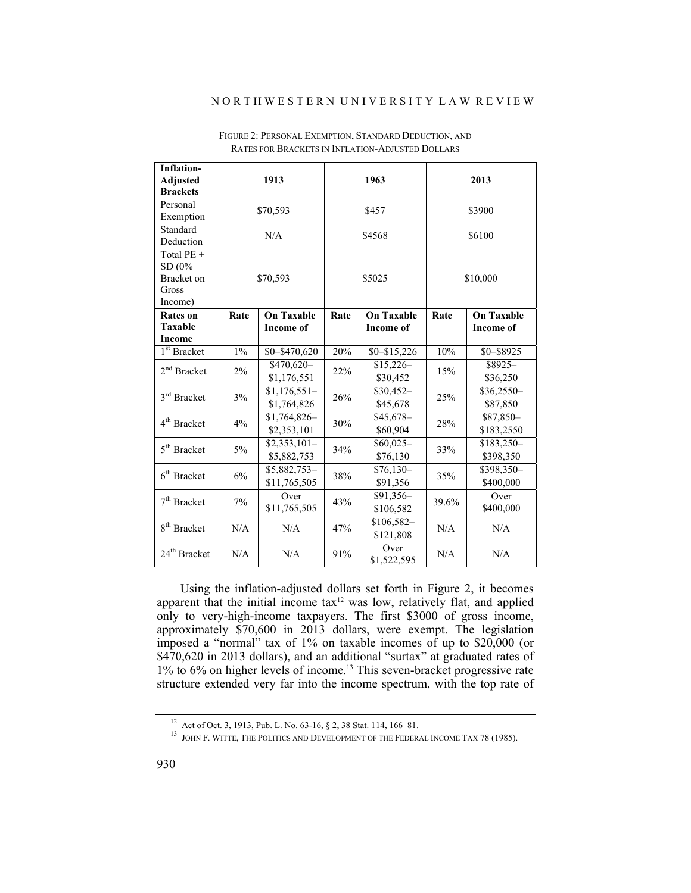### N O R T H W E S T E R N U N I V E R S I T Y L A W R E V I E W

| <b>Inflation-</b><br><b>Adjusted</b><br><b>Brackets</b> | 1913     |                               | 1963   |                                  | 2013     |                         |
|---------------------------------------------------------|----------|-------------------------------|--------|----------------------------------|----------|-------------------------|
| Personal<br>Exemption                                   | \$70,593 |                               | \$457  |                                  | \$3900   |                         |
| Standard<br>Deduction                                   | N/A      |                               | \$4568 |                                  | \$6100   |                         |
| Total $PE +$<br>SD(0%<br>Bracket on<br>Gross<br>Income) | \$70,593 |                               | \$5025 |                                  | \$10,000 |                         |
| <b>Rates</b> on                                         | Rate     | <b>On Taxable</b>             | Rate   | <b>On Taxable</b>                | Rate     | <b>On Taxable</b>       |
| Taxable<br>Income                                       |          | <b>Income of</b>              |        | <b>Income of</b>                 |          | <b>Income of</b>        |
| $\overline{1}^{\text{st}}$ Bracket                      | $1\%$    | \$0-\$470,620                 | 20%    | $$0 - $15,226$                   | 10%      | \$0-\$8925              |
| $2nd$ Bracket                                           | 2%       | $$470,620-$<br>\$1,176,551    | 22%    | $$15,226-$<br>\$30,452           | 15%      | $$8925-$<br>\$36,250    |
| 3 <sup>rd</sup> Bracket                                 | 3%       | $$1,176,551-$<br>\$1,764,826  | 26%    | $$30,452-$<br>\$45,678           | 25%      | \$36,2550-<br>\$87,850  |
| 4 <sup>th</sup> Bracket                                 | 4%       | $$1,764,826-$<br>\$2,353,101  | 30%    | $$45,\overline{678}$<br>\$60,904 | 28%      | \$87,850-<br>\$183,2550 |
| 5 <sup>th</sup> Bracket                                 | $5\%$    | $$2,353,101-$<br>\$5,882,753  | 34%    | $$60,025-$<br>\$76,130           | 33%      | \$183,250-<br>\$398,350 |
| $6th$ Bracket                                           | 6%       | $$5,882,753-$<br>\$11,765,505 | 38%    | $$76,130-$<br>\$91,356           | 35%      | \$398,350-<br>\$400,000 |
| $7th$ Bracket                                           | $7\%$    | Over<br>\$11,765,505          | 43%    | \$91,356-<br>\$106,582           | 39.6%    | Over<br>\$400,000       |
| 8 <sup>th</sup> Bracket                                 | N/A      | N/A                           | 47%    | $$106,582-$<br>\$121,808         | N/A      | N/A                     |
| 24 <sup>th</sup> Bracket                                | N/A      | N/A                           | 91%    | Over<br>\$1,522,595              | N/A      | N/A                     |

FIGURE 2: PERSONAL EXEMPTION, STANDARD DEDUCTION, AND RATES FOR BRACKETS IN INFLATION-ADJUSTED DOLLARS

Using the inflation-adjusted dollars set forth in Figure 2, it becomes apparent that the initial income  $\text{tax}^{\text{12}}$  was low, relatively flat, and applied only to very-high-income taxpayers. The first \$3000 of gross income, approximately \$70,600 in 2013 dollars, were exempt. The legislation imposed a "normal" tax of 1% on taxable incomes of up to \$20,000 (or \$470,620 in 2013 dollars), and an additional "surtax" at graduated rates of 1% to 6% on higher levels of income.13 This seven-bracket progressive rate structure extended very far into the income spectrum, with the top rate of

<sup>&</sup>lt;sup>12</sup> Act of Oct. 3, 1913, Pub. L. No. 63-16, § 2, 38 Stat. 114, 166–81.<br><sup>13</sup> JOHN F. WITTE, THE POLITICS AND DEVELOPMENT OF THE FEDERAL INCOME TAX 78 (1985).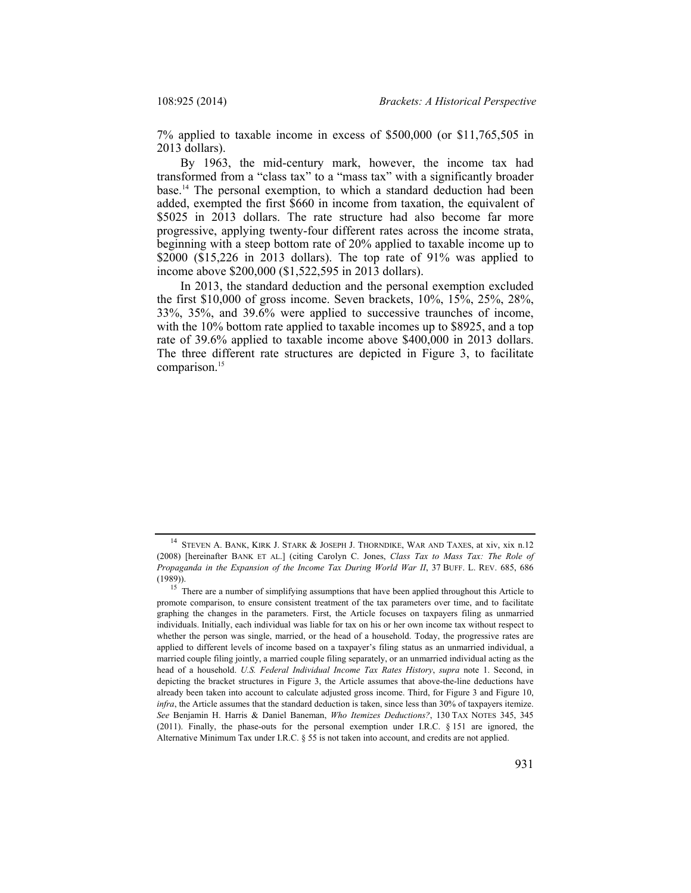7% applied to taxable income in excess of \$500,000 (or \$11,765,505 in 2013 dollars).

By 1963, the mid-century mark, however, the income tax had transformed from a "class tax" to a "mass tax" with a significantly broader base.14 The personal exemption, to which a standard deduction had been added, exempted the first \$660 in income from taxation, the equivalent of \$5025 in 2013 dollars. The rate structure had also become far more progressive, applying twenty-four different rates across the income strata, beginning with a steep bottom rate of 20% applied to taxable income up to \$2000 (\$15,226 in 2013 dollars). The top rate of 91% was applied to income above \$200,000 (\$1,522,595 in 2013 dollars).

In 2013, the standard deduction and the personal exemption excluded the first \$10,000 of gross income. Seven brackets, 10%, 15%, 25%, 28%, 33%, 35%, and 39.6% were applied to successive traunches of income, with the 10% bottom rate applied to taxable incomes up to \$8925, and a top rate of 39.6% applied to taxable income above \$400,000 in 2013 dollars. The three different rate structures are depicted in Figure 3, to facilitate comparison.<sup>15</sup>

<sup>&</sup>lt;sup>14</sup> STEVEN A. BANK, KIRK J. STARK & JOSEPH J. THORNDIKE, WAR AND TAXES, at xiv, xix n.12 (2008) [hereinafter BANK ET AL.] (citing Carolyn C. Jones, *Class Tax to Mass Tax: The Role of Propaganda in the Expansion of the Income Tax During World War II*, 37 BUFF. L. REV. 685, 686

<sup>(1989)). 15</sup> There are a number of simplifying assumptions that have been applied throughout this Article to promote comparison, to ensure consistent treatment of the tax parameters over time, and to facilitate graphing the changes in the parameters. First, the Article focuses on taxpayers filing as unmarried individuals. Initially, each individual was liable for tax on his or her own income tax without respect to whether the person was single, married, or the head of a household. Today, the progressive rates are applied to different levels of income based on a taxpayer's filing status as an unmarried individual, a married couple filing jointly, a married couple filing separately, or an unmarried individual acting as the head of a household. *U.S. Federal Individual Income Tax Rates History*, *supra* note 1. Second, in depicting the bracket structures in Figure 3, the Article assumes that above-the-line deductions have already been taken into account to calculate adjusted gross income. Third, for Figure 3 and Figure 10, *infra*, the Article assumes that the standard deduction is taken, since less than 30% of taxpayers itemize. *See* Benjamin H. Harris & Daniel Baneman, *Who Itemizes Deductions?*, 130 TAX NOTES 345, 345 (2011). Finally, the phase-outs for the personal exemption under I.R.C.  $\S$  151 are ignored, the Alternative Minimum Tax under I.R.C. § 55 is not taken into account, and credits are not applied.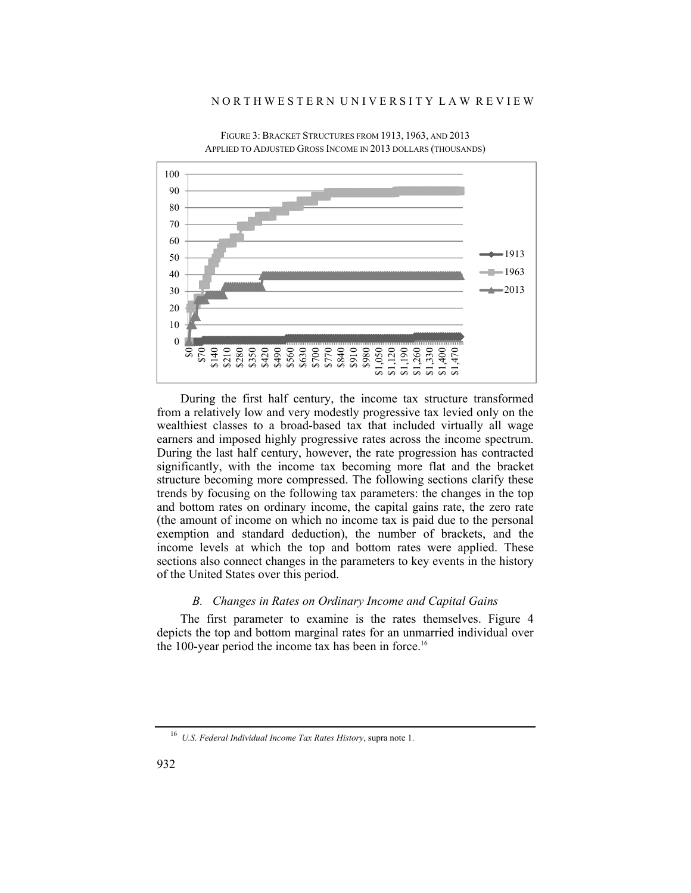### N O R T H W E S T E R N U N I V E R S I T Y L A W R E V I E W



FIGURE 3: BRACKET STRUCTURES FROM 1913, 1963, AND 2013 APPLIED TO ADJUSTED GROSS INCOME IN 2013 DOLLARS (THOUSANDS)

During the first half century, the income tax structure transformed from a relatively low and very modestly progressive tax levied only on the wealthiest classes to a broad-based tax that included virtually all wage earners and imposed highly progressive rates across the income spectrum. During the last half century, however, the rate progression has contracted significantly, with the income tax becoming more flat and the bracket structure becoming more compressed. The following sections clarify these trends by focusing on the following tax parameters: the changes in the top and bottom rates on ordinary income, the capital gains rate, the zero rate (the amount of income on which no income tax is paid due to the personal exemption and standard deduction), the number of brackets, and the income levels at which the top and bottom rates were applied. These sections also connect changes in the parameters to key events in the history of the United States over this period.

### *B. Changes in Rates on Ordinary Income and Capital Gains*

The first parameter to examine is the rates themselves. Figure 4 depicts the top and bottom marginal rates for an unmarried individual over the 100-year period the income tax has been in force.<sup>16</sup>

<sup>16</sup> *U.S. Federal Individual Income Tax Rates History*, supra note 1.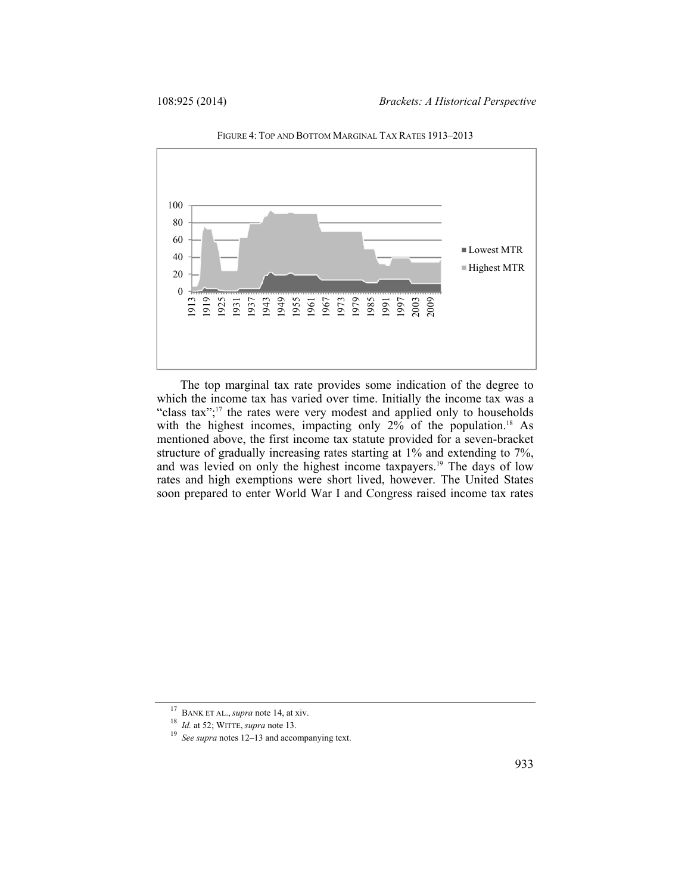

FIGURE 4: TOP AND BOTTOM MARGINAL TAX RATES 1913–2013

The top marginal tax rate provides some indication of the degree to which the income tax has varied over time. Initially the income tax was a "class tax";17 the rates were very modest and applied only to households with the highest incomes, impacting only  $2\%$  of the population.<sup>18</sup> As mentioned above, the first income tax statute provided for a seven-bracket structure of gradually increasing rates starting at 1% and extending to 7%, and was levied on only the highest income taxpayers.19 The days of low rates and high exemptions were short lived, however. The United States soon prepared to enter World War I and Congress raised income tax rates

<sup>&</sup>lt;sup>17</sup> BANK ET AL., *supra* note 14, at xiv.<br><sup>18</sup> *Id.* at 52; WITTE, *supra* note 13.<br><sup>19</sup> *See supra* notes 12–13 and accompanying text.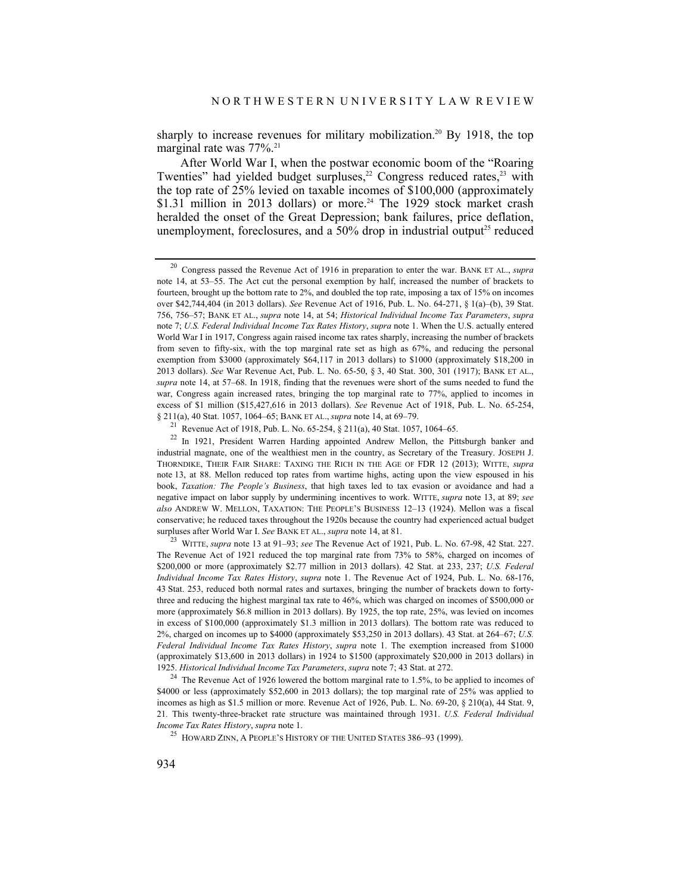sharply to increase revenues for military mobilization.<sup>20</sup> By 1918, the top marginal rate was 77%.<sup>21</sup>

After World War I, when the postwar economic boom of the "Roaring Twenties" had yielded budget surpluses,<sup>22</sup> Congress reduced rates,<sup>23</sup> with the top rate of 25% levied on taxable incomes of \$100,000 (approximately  $$1.31$  million in 2013 dollars) or more.<sup>24</sup> The 1929 stock market crash heralded the onset of the Great Depression; bank failures, price deflation, unemployment, foreclosures, and a  $50\%$  drop in industrial output<sup>25</sup> reduced

<sup>20</sup> Congress passed the Revenue Act of 1916 in preparation to enter the war. BANK ET AL., *supra*  note 14, at 53–55. The Act cut the personal exemption by half, increased the number of brackets to fourteen, brought up the bottom rate to 2%, and doubled the top rate, imposing a tax of 15% on incomes over \$42,744,404 (in 2013 dollars). *See* Revenue Act of 1916, Pub. L. No. 64-271, § 1(a)–(b), 39 Stat. 756, 756–57; BANK ET AL., *supra* note 14, at 54; *Historical Individual Income Tax Parameters*, *supra*  note 7; *U.S. Federal Individual Income Tax Rates History*, *supra* note 1. When the U.S. actually entered World War I in 1917, Congress again raised income tax rates sharply, increasing the number of brackets from seven to fifty-six, with the top marginal rate set as high as 67%, and reducing the personal exemption from \$3000 (approximately \$64,117 in 2013 dollars) to \$1000 (approximately \$18,200 in 2013 dollars). *See* War Revenue Act, Pub. L. No. 65-50, § 3, 40 Stat. 300, 301 (1917); BANK ET AL., *supra* note 14, at 57–68. In 1918, finding that the revenues were short of the sums needed to fund the war, Congress again increased rates, bringing the top marginal rate to 77%, applied to incomes in excess of \$1 million (\$15,427,616 in 2013 dollars). *See* Revenue Act of 1918, Pub. L. No. 65-254, § 211(a), 40 Stat. 1057, 1064–65; BANK ET AL., *supra* note 14, at 69–79.

<sup>&</sup>lt;sup>22</sup> In 1921, President Warren Harding appointed Andrew Mellon, the Pittsburgh banker and industrial magnate, one of the wealthiest men in the country, as Secretary of the Treasury. JOSEPH J. THORNDIKE, THEIR FAIR SHARE: TAXING THE RICH IN THE AGE OF FDR 12 (2013); WITTE, *supra* note 13, at 88. Mellon reduced top rates from wartime highs, acting upon the view espoused in his book, *Taxation: The People's Business*, that high taxes led to tax evasion or avoidance and had a negative impact on labor supply by undermining incentives to work. WITTE, *supra* note 13, at 89; *see also* ANDREW W. MELLON, TAXATION: THE PEOPLE'S BUSINESS 12–13 (1924). Mellon was a fiscal conservative; he reduced taxes throughout the 1920s because the country had experienced actual budget surpluses after World War I. *See* BANK ET AL., *supra* note 14, at 81.

<sup>23</sup> WITTE, *supra* note 13 at 91–93; *see* The Revenue Act of 1921, Pub. L. No. 67-98, 42 Stat. 227. The Revenue Act of 1921 reduced the top marginal rate from 73% to 58%, charged on incomes of \$200,000 or more (approximately \$2.77 million in 2013 dollars). 42 Stat. at 233, 237; *U.S. Federal Individual Income Tax Rates History*, *supra* note 1. The Revenue Act of 1924, Pub. L. No. 68-176, 43 Stat. 253, reduced both normal rates and surtaxes, bringing the number of brackets down to fortythree and reducing the highest marginal tax rate to 46%, which was charged on incomes of \$500,000 or more (approximately \$6.8 million in 2013 dollars). By 1925, the top rate, 25%, was levied on incomes in excess of \$100,000 (approximately \$1.3 million in 2013 dollars). The bottom rate was reduced to 2%, charged on incomes up to \$4000 (approximately \$53,250 in 2013 dollars). 43 Stat. at 264–67; *U.S. Federal Individual Income Tax Rates History*, *supra* note 1. The exemption increased from \$1000 (approximately \$13,600 in 2013 dollars) in 1924 to \$1500 (approximately \$20,000 in 2013 dollars) in 1925. *Historical Individual Income Tax Parameters*, *supra* note 7; 43 Stat. at 272.

 $24$  The Revenue Act of 1926 lowered the bottom marginal rate to 1.5%, to be applied to incomes of \$4000 or less (approximately \$52,600 in 2013 dollars); the top marginal rate of 25% was applied to incomes as high as \$1.5 million or more. Revenue Act of 1926, Pub. L. No. 69-20, § 210(a), 44 Stat. 9, 21*.* This twenty-three-bracket rate structure was maintained through 1931. *U.S. Federal Individual Income Tax Rates History*, *supra* note 1.<br><sup>25</sup> HOWARD ZINN, A PEOPLE'S HISTORY OF THE UNITED STATES 386–93 (1999).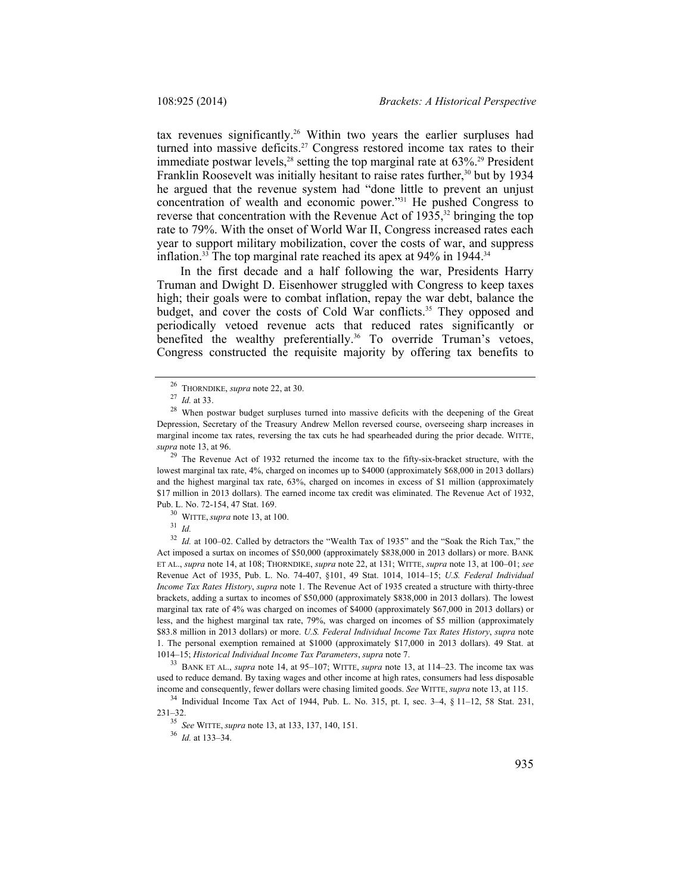tax revenues significantly.<sup>26</sup> Within two years the earlier surpluses had turned into massive deficits.<sup>27</sup> Congress restored income tax rates to their immediate postwar levels,<sup>28</sup> setting the top marginal rate at 63%.<sup>29</sup> President Franklin Roosevelt was initially hesitant to raise rates further.<sup>30</sup> but by 1934 he argued that the revenue system had "done little to prevent an unjust concentration of wealth and economic power."31 He pushed Congress to reverse that concentration with the Revenue Act of  $1935$ ,<sup>32</sup> bringing the top rate to 79%. With the onset of World War II, Congress increased rates each year to support military mobilization, cover the costs of war, and suppress inflation.<sup>33</sup> The top marginal rate reached its apex at  $94\%$  in 1944.<sup>34</sup>

In the first decade and a half following the war, Presidents Harry Truman and Dwight D. Eisenhower struggled with Congress to keep taxes high; their goals were to combat inflation, repay the war debt, balance the budget, and cover the costs of Cold War conflicts.<sup>35</sup> They opposed and periodically vetoed revenue acts that reduced rates significantly or benefited the wealthy preferentially.<sup>36</sup> To override Truman's vetoes, Congress constructed the requisite majority by offering tax benefits to

<sup>29</sup> The Revenue Act of 1932 returned the income tax to the fifty-six-bracket structure, with the lowest marginal tax rate, 4%, charged on incomes up to \$4000 (approximately \$68,000 in 2013 dollars) and the highest marginal tax rate, 63%, charged on incomes in excess of \$1 million (approximately \$17 million in 2013 dollars). The earned income tax credit was eliminated. The Revenue Act of 1932, Pub. L. No. 72-154, 47 Stat. 169. 30 WITTE, *supra* note 13, at 100. 31 *Id.*

<sup>32</sup> *Id.* at 100–02. Called by detractors the "Wealth Tax of 1935" and the "Soak the Rich Tax," the Act imposed a surtax on incomes of \$50,000 (approximately \$838,000 in 2013 dollars) or more. BANK ET AL., *supra* note 14, at 108; THORNDIKE, *supra* note 22, at 131; WITTE, *supra* note 13, at 100–01; *see* Revenue Act of 1935, Pub. L. No. 74-407, §101, 49 Stat. 1014, 1014–15; *U.S. Federal Individual Income Tax Rates History*, *supra* note 1. The Revenue Act of 1935 created a structure with thirty-three brackets, adding a surtax to incomes of \$50,000 (approximately \$838,000 in 2013 dollars). The lowest marginal tax rate of 4% was charged on incomes of \$4000 (approximately \$67,000 in 2013 dollars) or less, and the highest marginal tax rate, 79%, was charged on incomes of \$5 million (approximately \$83.8 million in 2013 dollars) or more. *U.S. Federal Individual Income Tax Rates History*, *supra* note 1. The personal exemption remained at \$1000 (approximately \$17,000 in 2013 dollars). 49 Stat. at 1014–15; *Historical Individual Income Tax Parameters*, *supra* note 7. 33 BANK ET AL., *supra* note 14, at 95–107; WITTE, *supra* note 13, at 114–23. The income tax was

used to reduce demand. By taxing wages and other income at high rates, consumers had less disposable income and consequently, fewer dollars were chasing limited goods. *See* WITTE, *supra* note 13, at 115.

<sup>34</sup> Individual Income Tax Act of 1944, Pub. L. No. 315, pt. I, sec. 3–4, § 11–12, 58 Stat. 231, 231–32. 35 *See* WITTE, *supra* note 13, at 133, 137, 140, 151. 36 *Id.* at 133–34.

<sup>&</sup>lt;sup>26</sup> THORNDIKE, *supra* note 22, at 30.<br><sup>27</sup> *Id.* at 33.<br><sup>28</sup> When postwar budget surpluses turned into massive deficits with the deepening of the Great Depression, Secretary of the Treasury Andrew Mellon reversed course, overseeing sharp increases in marginal income tax rates, reversing the tax cuts he had spearheaded during the prior decade. WITTE, *supra* note 13, at 96.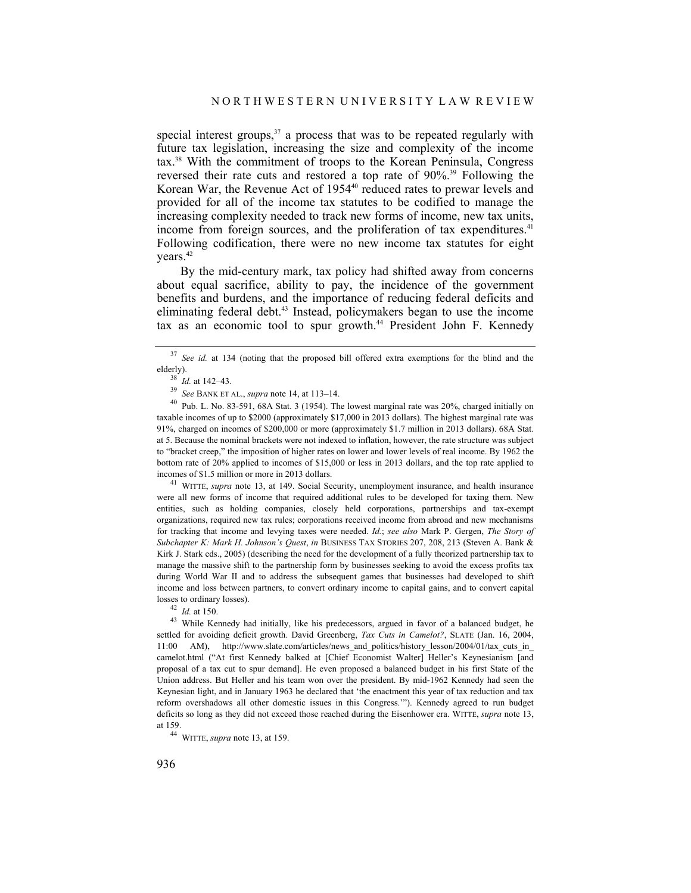special interest groups,  $37$  a process that was to be repeated regularly with future tax legislation, increasing the size and complexity of the income tax.38 With the commitment of troops to the Korean Peninsula, Congress reversed their rate cuts and restored a top rate of 90%.39 Following the Korean War, the Revenue Act of 1954<sup>40</sup> reduced rates to prewar levels and provided for all of the income tax statutes to be codified to manage the increasing complexity needed to track new forms of income, new tax units, income from foreign sources, and the proliferation of tax expenditures.<sup>41</sup> Following codification, there were no new income tax statutes for eight vears.<sup>42</sup>

By the mid-century mark, tax policy had shifted away from concerns about equal sacrifice, ability to pay, the incidence of the government benefits and burdens, and the importance of reducing federal deficits and eliminating federal debt.<sup>43</sup> Instead, policymakers began to use the income tax as an economic tool to spur growth.<sup>44</sup> President John F. Kennedy

incomes of \$1.5 million or more in 2013 dollars. 41 WITTE, *supra* note 13, at 149. Social Security, unemployment insurance, and health insurance were all new forms of income that required additional rules to be developed for taxing them. New entities, such as holding companies, closely held corporations, partnerships and tax-exempt organizations, required new tax rules; corporations received income from abroad and new mechanisms for tracking that income and levying taxes were needed. *Id.*; *see also* Mark P. Gergen, *The Story of Subchapter K: Mark H. Johnson's Quest*, *in* BUSINESS TAX STORIES 207, 208, 213 (Steven A. Bank & Kirk J. Stark eds., 2005) (describing the need for the development of a fully theorized partnership tax to manage the massive shift to the partnership form by businesses seeking to avoid the excess profits tax during World War II and to address the subsequent games that businesses had developed to shift income and loss between partners, to convert ordinary income to capital gains, and to convert capital losses to ordinary losses).<br> $\frac{42 \text{ Id. at 150}}$ .

<sup>43</sup> While Kennedy had initially, like his predecessors, argued in favor of a balanced budget, he settled for avoiding deficit growth. David Greenberg, *Tax Cuts in Camelot?*, SLATE (Jan. 16, 2004, 11:00 AM), http://www.slate.com/articles/news and politics/history lesson/2004/01/tax cuts in camelot.html ("At first Kennedy balked at [Chief Economist Walter] Heller's Keynesianism [and proposal of a tax cut to spur demand]. He even proposed a balanced budget in his first State of the Union address. But Heller and his team won over the president. By mid-1962 Kennedy had seen the Keynesian light, and in January 1963 he declared that 'the enactment this year of tax reduction and tax reform overshadows all other domestic issues in this Congress.'"). Kennedy agreed to run budget deficits so long as they did not exceed those reached during the Eisenhower era. WITTE, *supra* note 13, at 159.

<sup>44</sup> WITTE, *supra* note 13, at 159.

<sup>&</sup>lt;sup>37</sup> See id. at 134 (noting that the proposed bill offered extra exemptions for the blind and the

elderly).<br><sup>38</sup> *Id.* at 142–43.<br><sup>39</sup> *See* BANK ET AL., *supra* note 14, at 113–14.<br><sup>40</sup> Pub. L. No. 83-591, 68A Stat. 3 (1954). The lowest marginal rate was 20%, charged initially on taxable incomes of up to \$2000 (approximately \$17,000 in 2013 dollars). The highest marginal rate was 91%, charged on incomes of \$200,000 or more (approximately \$1.7 million in 2013 dollars). 68A Stat. at 5. Because the nominal brackets were not indexed to inflation, however, the rate structure was subject to "bracket creep," the imposition of higher rates on lower and lower levels of real income. By 1962 the bottom rate of 20% applied to incomes of \$15,000 or less in 2013 dollars, and the top rate applied to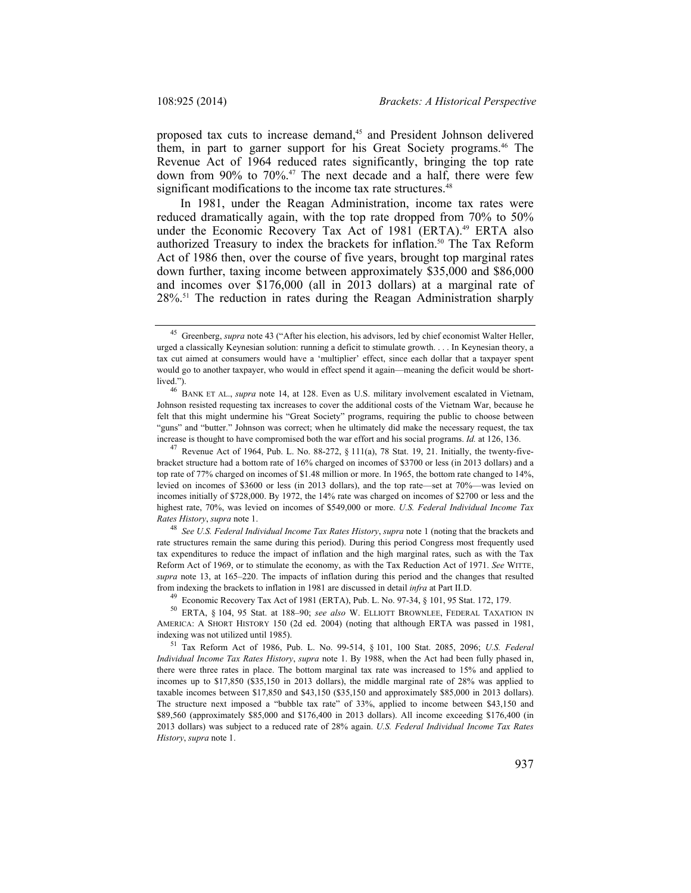proposed tax cuts to increase demand,<sup>45</sup> and President Johnson delivered them, in part to garner support for his Great Society programs.46 The Revenue Act of 1964 reduced rates significantly, bringing the top rate down from 90% to 70%.47 The next decade and a half, there were few significant modifications to the income tax rate structures.<sup>48</sup>

In 1981, under the Reagan Administration, income tax rates were reduced dramatically again, with the top rate dropped from 70% to 50% under the Economic Recovery Tax Act of 1981 (ERTA).<sup>49</sup> ERTA also authorized Treasury to index the brackets for inflation.<sup>50</sup> The Tax Reform Act of 1986 then, over the course of five years, brought top marginal rates down further, taxing income between approximately \$35,000 and \$86,000 and incomes over \$176,000 (all in 2013 dollars) at a marginal rate of 28%.51 The reduction in rates during the Reagan Administration sharply

<sup>49</sup> Economic Recovery Tax Act of 1981 (ERTA), Pub. L. No. 97-34, § 101, 95 Stat. 172, 179.<br><sup>50</sup> ERTA, § 104, 95 Stat. at 188–90; *see also* W. ELLIOTT BROWNLEE, FEDERAL TAXATION IN AMERICA: A SHORT HISTORY 150 (2d ed. 2004) (noting that although ERTA was passed in 1981,

<sup>45</sup> Greenberg, *supra* note 43 ("After his election, his advisors, led by chief economist Walter Heller, urged a classically Keynesian solution: running a deficit to stimulate growth. . . . In Keynesian theory, a tax cut aimed at consumers would have a 'multiplier' effect, since each dollar that a taxpayer spent would go to another taxpayer, who would in effect spend it again—meaning the deficit would be short-

lived."). 46 BANK ET AL., *supra* note 14, at 128. Even as U.S. military involvement escalated in Vietnam, Johnson resisted requesting tax increases to cover the additional costs of the Vietnam War, because he felt that this might undermine his "Great Society" programs, requiring the public to choose between "guns" and "butter." Johnson was correct; when he ultimately did make the necessary request, the tax increase is thought to have compromised both the war effort and his social programs. *Id.* at 126, 136.

<sup>&</sup>lt;sup>47</sup> Revenue Act of 1964, Pub. L. No. 88-272,  $\S$  111(a), 78 Stat. 19, 21. Initially, the twenty-fivebracket structure had a bottom rate of 16% charged on incomes of \$3700 or less (in 2013 dollars) and a top rate of 77% charged on incomes of \$1.48 million or more. In 1965, the bottom rate changed to 14%, levied on incomes of \$3600 or less (in 2013 dollars), and the top rate—set at 70%—was levied on incomes initially of \$728,000. By 1972, the 14% rate was charged on incomes of \$2700 or less and the highest rate, 70%, was levied on incomes of \$549,000 or more. *U.S. Federal Individual Income Tax Rates History*, *supra* note 1. 48 *See U.S. Federal Individual Income Tax Rates History*, *supra* note 1 (noting that the brackets and

rate structures remain the same during this period). During this period Congress most frequently used tax expenditures to reduce the impact of inflation and the high marginal rates, such as with the Tax Reform Act of 1969, or to stimulate the economy, as with the Tax Reduction Act of 1971. *See* WITTE, *supra* note 13, at 165–220. The impacts of inflation during this period and the changes that resulted from indexing the brackets to inflation in 1981 are discussed in detail *infra* at Part II.D.

indexing was not utilized until 1985). 51 Tax Reform Act of 1986, Pub. L. No. 99-514, § 101, 100 Stat. 2085, 2096; *U.S. Federal Individual Income Tax Rates History*, *supra* note 1. By 1988, when the Act had been fully phased in, there were three rates in place. The bottom marginal tax rate was increased to 15% and applied to incomes up to \$17,850 (\$35,150 in 2013 dollars), the middle marginal rate of 28% was applied to taxable incomes between \$17,850 and \$43,150 (\$35,150 and approximately \$85,000 in 2013 dollars). The structure next imposed a "bubble tax rate" of 33%, applied to income between \$43,150 and \$89,560 (approximately \$85,000 and \$176,400 in 2013 dollars). All income exceeding \$176,400 (in 2013 dollars) was subject to a reduced rate of 28% again. *U.S. Federal Individual Income Tax Rates History*, *supra* note 1.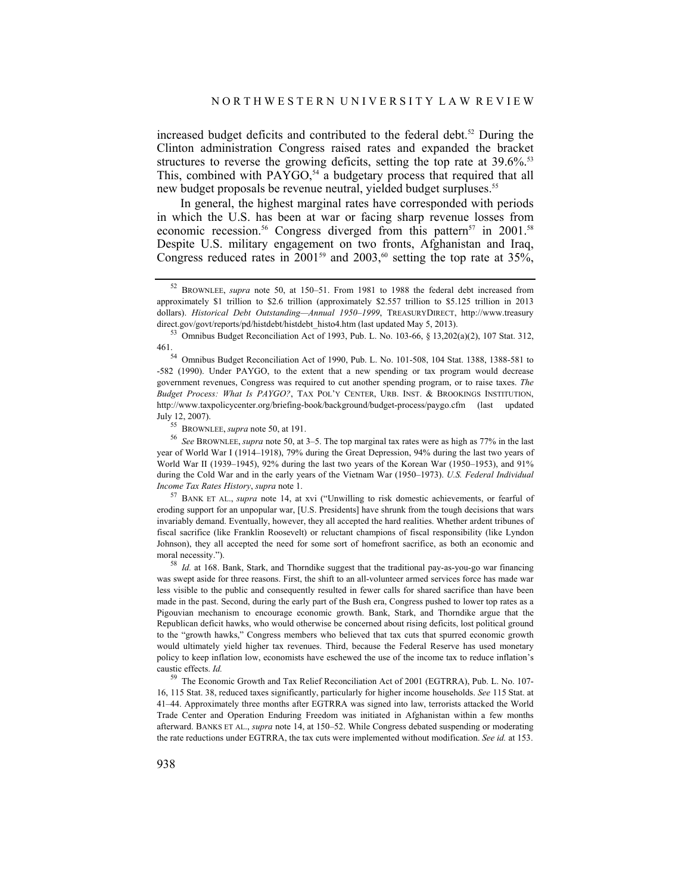increased budget deficits and contributed to the federal debt.<sup>52</sup> During the Clinton administration Congress raised rates and expanded the bracket structures to reverse the growing deficits, setting the top rate at 39.6%.<sup>53</sup> This, combined with  $PAYGO$ ,<sup>54</sup> a budgetary process that required that all new budget proposals be revenue neutral, yielded budget surpluses.<sup>55</sup>

In general, the highest marginal rates have corresponded with periods in which the U.S. has been at war or facing sharp revenue losses from economic recession.<sup>56</sup> Congress diverged from this pattern<sup>57</sup> in 2001.<sup>58</sup> Despite U.S. military engagement on two fronts, Afghanistan and Iraq, Congress reduced rates in 2001<sup>59</sup> and 2003,<sup>60</sup> setting the top rate at 35%,

461.54 Omnibus Budget Reconciliation Act of 1990, Pub. L. No. 101-508, 104 Stat. 1388, 1388-581 to -582 (1990). Under PAYGO, to the extent that a new spending or tax program would decrease government revenues, Congress was required to cut another spending program, or to raise taxes. *The Budget Process: What Is PAYGO?*, TAX POL'Y CENTER, URB. INST. & BROOKINGS INSTITUTION, http://www.taxpolicycenter.org/briefing-book/background/budget-process/paygo.cfm (last updated July 12, 2007).<br><sup>55</sup> BROWNLEE, *supra* note 50, at 191.

<sup>56</sup> See BROWNLEE, *supra* note 50, at 3–5. The top marginal tax rates were as high as 77% in the last year of World War I (1914–1918), 79% during the Great Depression, 94% during the last two years of World War II (1939–1945), 92% during the last two years of the Korean War (1950–1953), and 91% during the Cold War and in the early years of the Vietnam War (1950–1973). *U.S. Federal Individual Income Tax Rates History*, *supra* note 1.

<sup>57</sup> BANK ET AL., *supra* note 14, at xvi ("Unwilling to risk domestic achievements, or fearful of eroding support for an unpopular war, [U.S. Presidents] have shrunk from the tough decisions that wars invariably demand. Eventually, however, they all accepted the hard realities. Whether ardent tribunes of fiscal sacrifice (like Franklin Roosevelt) or reluctant champions of fiscal responsibility (like Lyndon Johnson), they all accepted the need for some sort of homefront sacrifice, as both an economic and moral necessity.").

<sup>58</sup> *Id.* at 168. Bank, Stark, and Thorndike suggest that the traditional pay-as-you-go war financing was swept aside for three reasons. First, the shift to an all-volunteer armed services force has made war less visible to the public and consequently resulted in fewer calls for shared sacrifice than have been made in the past. Second, during the early part of the Bush era, Congress pushed to lower top rates as a Pigouvian mechanism to encourage economic growth. Bank, Stark, and Thorndike argue that the Republican deficit hawks, who would otherwise be concerned about rising deficits, lost political ground to the "growth hawks," Congress members who believed that tax cuts that spurred economic growth would ultimately yield higher tax revenues. Third, because the Federal Reserve has used monetary policy to keep inflation low, economists have eschewed the use of the income tax to reduce inflation's caustic effects. *Id.*

<sup>59</sup> The Economic Growth and Tax Relief Reconciliation Act of 2001 (EGTRRA), Pub. L. No. 107- 16, 115 Stat. 38, reduced taxes significantly, particularly for higher income households. *See* 115 Stat. at 41–44. Approximately three months after EGTRRA was signed into law, terrorists attacked the World Trade Center and Operation Enduring Freedom was initiated in Afghanistan within a few months afterward. BANKS ET AL., *supra* note 14, at 150–52. While Congress debated suspending or moderating the rate reductions under EGTRRA, the tax cuts were implemented without modification. *See id.* at 153.

<sup>52</sup> BROWNLEE, *supra* note 50, at 150–51. From 1981 to 1988 the federal debt increased from approximately \$1 trillion to \$2.6 trillion (approximately \$2.557 trillion to \$5.125 trillion in 2013 dollars). *Historical Debt Outstanding—Annual 1950–1999*, TREASURYDIRECT, http://www.treasury direct.gov/govt/reports/pd/histdebt/histdebt\_histo4.htm (last updated May 5, 2013).<br><sup>53</sup> Omnibus Budget Reconciliation Act of 1993, Pub. L. No. 103-66, § 13,202(a)(2), 107 Stat. 312,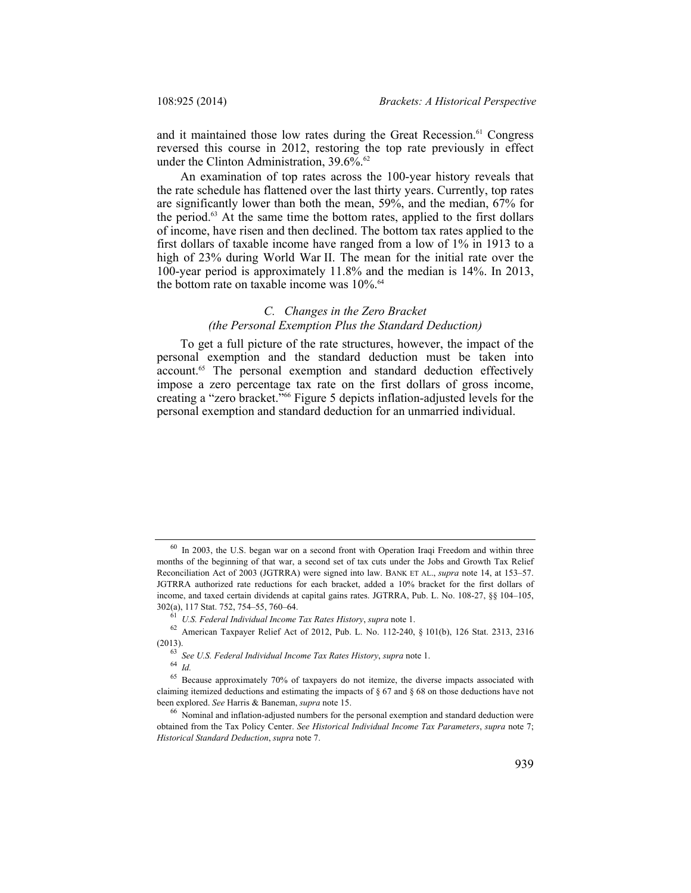and it maintained those low rates during the Great Recession.<sup>61</sup> Congress reversed this course in 2012, restoring the top rate previously in effect under the Clinton Administration, 39.6%.<sup>62</sup>

An examination of top rates across the 100-year history reveals that the rate schedule has flattened over the last thirty years. Currently, top rates are significantly lower than both the mean, 59%, and the median, 67% for the period.63 At the same time the bottom rates, applied to the first dollars of income, have risen and then declined. The bottom tax rates applied to the first dollars of taxable income have ranged from a low of 1% in 1913 to a high of 23% during World War II. The mean for the initial rate over the 100-year period is approximately 11.8% and the median is 14%. In 2013, the bottom rate on taxable income was 10%.<sup>64</sup>

# *C. Changes in the Zero Bracket (the Personal Exemption Plus the Standard Deduction)*

To get a full picture of the rate structures, however, the impact of the personal exemption and the standard deduction must be taken into account.<sup>65</sup> The personal exemption and standard deduction effectively impose a zero percentage tax rate on the first dollars of gross income, creating a "zero bracket."66 Figure 5 depicts inflation-adjusted levels for the personal exemption and standard deduction for an unmarried individual.

 $60$  In 2003, the U.S. began war on a second front with Operation Iraqi Freedom and within three months of the beginning of that war, a second set of tax cuts under the Jobs and Growth Tax Relief Reconciliation Act of 2003 (JGTRRA) were signed into law. BANK ET AL., *supra* note 14, at 153–57. JGTRRA authorized rate reductions for each bracket, added a 10% bracket for the first dollars of income, and taxed certain dividends at capital gains rates. JGTRRA, Pub. L. No. 108-27, §§ 104–105,

<sup>302(</sup>a), 117 Stat. 752, 754–55, 760–64. 61 *U.S. Federal Individual Income Tax Rates History*, *supra* note 1. 62 American Taxpayer Relief Act of 2012, Pub. L. No. 112-240, § 101(b), 126 Stat. 2313, 2316 (2013). 63 *See U.S. Federal Individual Income Tax Rates History*, *supra* note 1. 64 *Id.*

<sup>&</sup>lt;sup>65</sup> Because approximately 70% of taxpayers do not itemize, the diverse impacts associated with claiming itemized deductions and estimating the impacts of  $\S 67$  and  $\S 68$  on those deductions have not been explored. *See* Harris & Baneman, *supra* note 15.<br><sup>66</sup> Nominal and inflation-adjusted numbers for the personal exemption and standard deduction were

obtained from the Tax Policy Center. *See Historical Individual Income Tax Parameters*, *supra* note 7; *Historical Standard Deduction*, *supra* note 7.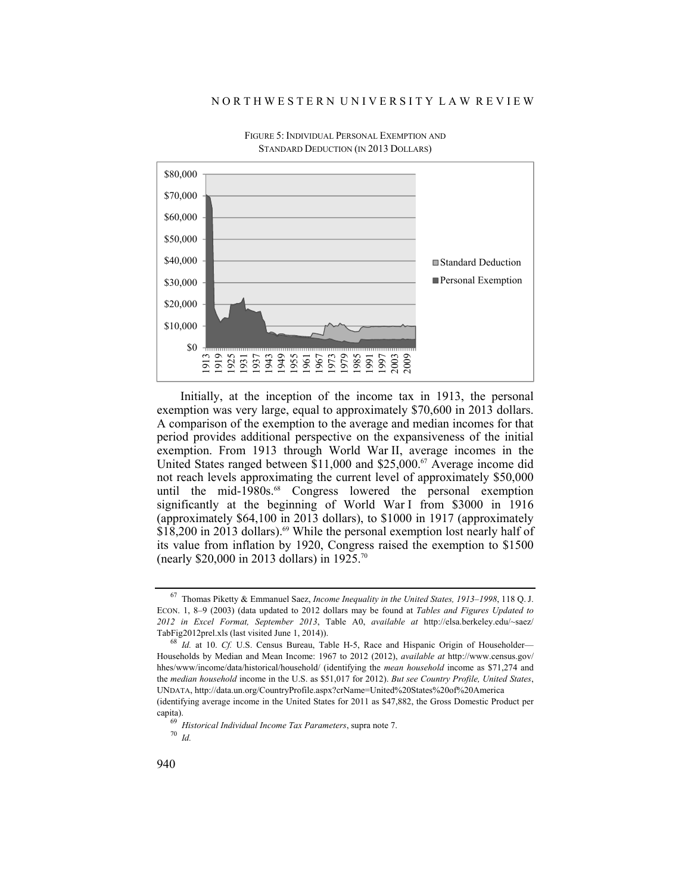#### N O R T H W E S T E R N U N I V E R S I T Y L A W R E V I E W



FIGURE 5: INDIVIDUAL PERSONAL EXEMPTION AND STANDARD DEDUCTION (IN 2013 DOLLARS)

Initially, at the inception of the income tax in 1913, the personal exemption was very large, equal to approximately \$70,600 in 2013 dollars. A comparison of the exemption to the average and median incomes for that period provides additional perspective on the expansiveness of the initial exemption. From 1913 through World War II, average incomes in the United States ranged between \$11,000 and \$25,000.<sup>67</sup> Average income did not reach levels approximating the current level of approximately \$50,000 until the mid-1980s.<sup>68</sup> Congress lowered the personal exemption significantly at the beginning of World War I from \$3000 in 1916 (approximately \$64,100 in 2013 dollars), to \$1000 in 1917 (approximately  $$18,200$  in 2013 dollars).<sup>69</sup> While the personal exemption lost nearly half of its value from inflation by 1920, Congress raised the exemption to \$1500 (nearly \$20,000 in 2013 dollars) in 1925.70

<sup>67</sup> Thomas Piketty & Emmanuel Saez, *Income Inequality in the United States, 1913–1998*, 118 Q. J. ECON. 1, 8–9 (2003) (data updated to 2012 dollars may be found at *Tables and Figures Updated to 2012 in Excel Format, September 2013*, Table A0, *available at* http://elsa.berkeley.edu/~saez/ TabFig2012prel.xls (last visited June 1, 2014)).

<sup>68</sup> *Id.* at 10. *Cf.* U.S. Census Bureau, Table H-5, Race and Hispanic Origin of Householder— Households by Median and Mean Income: 1967 to 2012 (2012), *available at* http://www.census.gov/ hhes/www/income/data/historical/household/ (identifying the *mean household* income as \$71,274 and the *median household* income in the U.S. as \$51,017 for 2012). *But see Country Profile, United States*, UNDATA, http://data.un.org/CountryProfile.aspx?crName=United%20States%20of%20America (identifying average income in the United States for 2011 as \$47,882, the Gross Domestic Product per

capita). 69 *Historical Individual Income Tax Parameters*, supra note 7. 70 *Id.*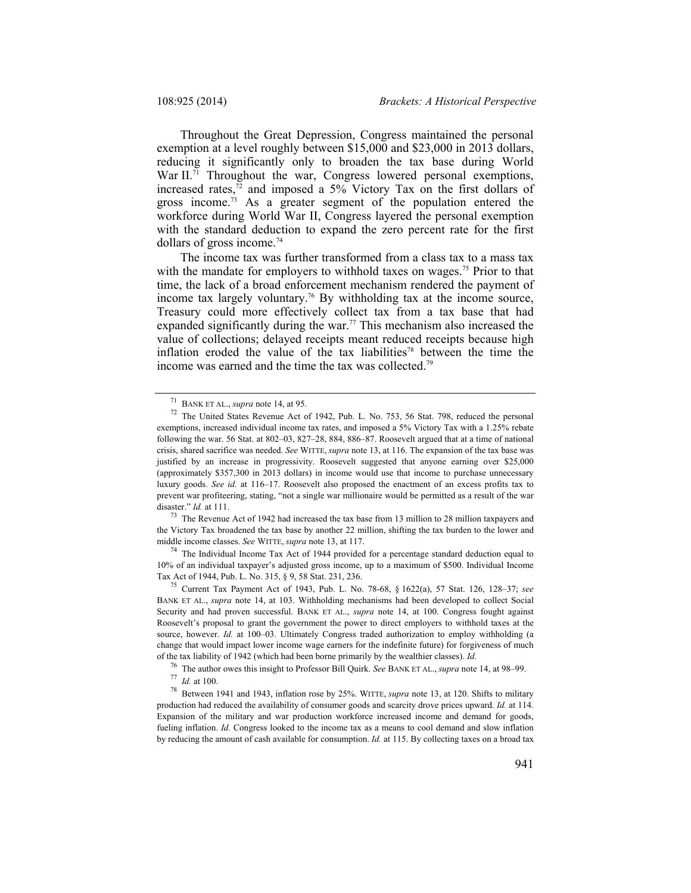Throughout the Great Depression, Congress maintained the personal exemption at a level roughly between \$15,000 and \$23,000 in 2013 dollars, reducing it significantly only to broaden the tax base during World War II.<sup>71</sup> Throughout the war, Congress lowered personal exemptions, increased rates, $72$  and imposed a 5% Victory Tax on the first dollars of gross income.<sup>73</sup> As a greater segment of the population entered the workforce during World War II, Congress layered the personal exemption with the standard deduction to expand the zero percent rate for the first dollars of gross income.74

The income tax was further transformed from a class tax to a mass tax with the mandate for employers to withhold taxes on wages.<sup>75</sup> Prior to that time, the lack of a broad enforcement mechanism rendered the payment of income tax largely voluntary.<sup>76</sup> By withholding tax at the income source, Treasury could more effectively collect tax from a tax base that had expanded significantly during the war.<sup>77</sup> This mechanism also increased the value of collections; delayed receipts meant reduced receipts because high inflation eroded the value of the tax liabilities<sup>78</sup> between the time the income was earned and the time the tax was collected.<sup>79</sup>

the Victory Tax broadened the tax base by another 22 million, shifting the tax burden to the lower and middle income classes. *See* WITTE, *supra* note 13, at 117.

 $74$  The Individual Income Tax Act of 1944 provided for a percentage standard deduction equal to 10% of an individual taxpayer's adjusted gross income, up to a maximum of \$500. Individual Income

Tax Act of 1944, Pub. L. No. 315, § 9, 58 Stat. 231, 236. 75 Current Tax Payment Act of 1943, Pub. L. No. 78-68, § 1622(a), 57 Stat. 126, 128–37; *see*  BANK ET AL., *supra* note 14, at 103. Withholding mechanisms had been developed to collect Social Security and had proven successful. BANK ET AL., *supra* note 14, at 100. Congress fought against Roosevelt's proposal to grant the government the power to direct employers to withhold taxes at the source, however. *Id.* at 100-03. Ultimately Congress traded authorization to employ withholding (a change that would impact lower income wage earners for the indefinite future) for forgiveness of much of the tax liability of 1942 (which had been borne primarily by the wealthier classes). *Id.*

<sup>76</sup> The author owes this insight to Professor Bill Quirk. *See* BANK ET AL., *supra* note 14, at 98–99.

<sup>78</sup> Between 1941 and 1943, inflation rose by 25%. WITTE, *supra* note 13, at 120. Shifts to military production had reduced the availability of consumer goods and scarcity drove prices upward. *Id.* at 114. Expansion of the military and war production workforce increased income and demand for goods, fueling inflation. *Id.* Congress looked to the income tax as a means to cool demand and slow inflation by reducing the amount of cash available for consumption. *Id.* at 115. By collecting taxes on a broad tax

<sup>&</sup>lt;sup>71</sup> BANK ET AL., *supra* note 14, at 95.<br><sup>72</sup> The United States Revenue Act of 1942, Pub. L. No. 753, 56 Stat. 798, reduced the personal exemptions, increased individual income tax rates, and imposed a 5% Victory Tax with a 1.25% rebate following the war. 56 Stat. at 802–03, 827–28, 884, 886–87. Roosevelt argued that at a time of national crisis, shared sacrifice was needed. *See* WITTE, *supra* note 13, at 116. The expansion of the tax base was justified by an increase in progressivity. Roosevelt suggested that anyone earning over \$25,000 (approximately \$357,300 in 2013 dollars) in income would use that income to purchase unnecessary luxury goods. *See id.* at 116–17. Roosevelt also proposed the enactment of an excess profits tax to prevent war profiteering, stating, "not a single war millionaire would be permitted as a result of the war disaster." *Id.* at 111.<br><sup>73</sup> The Revenue Act of 1942 had increased the tax base from 13 million to 28 million taxpayers and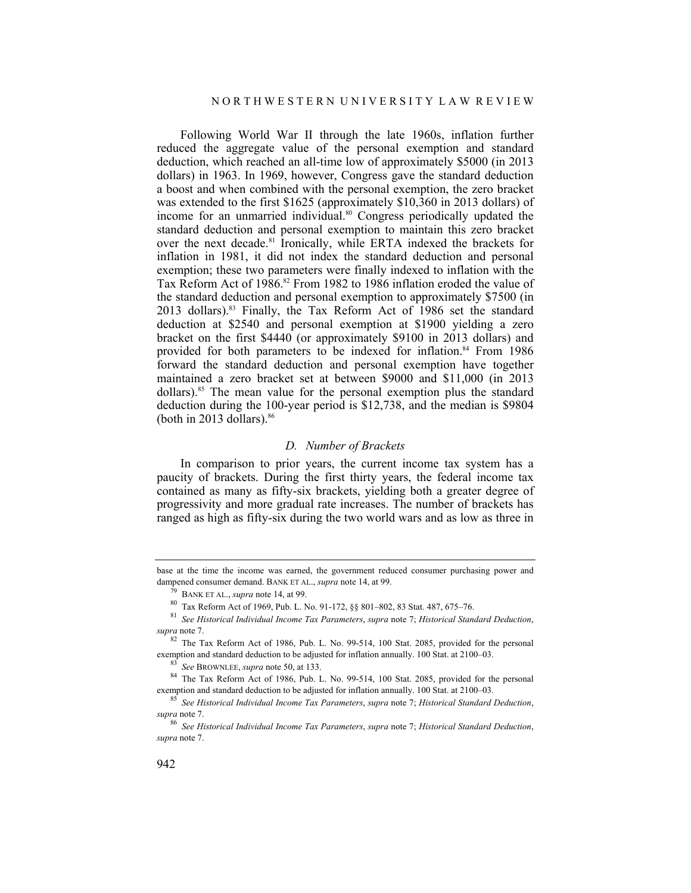Following World War II through the late 1960s, inflation further reduced the aggregate value of the personal exemption and standard deduction, which reached an all-time low of approximately \$5000 (in 2013 dollars) in 1963. In 1969, however, Congress gave the standard deduction a boost and when combined with the personal exemption, the zero bracket was extended to the first \$1625 (approximately \$10,360 in 2013 dollars) of income for an unmarried individual.80 Congress periodically updated the standard deduction and personal exemption to maintain this zero bracket over the next decade.81 Ironically, while ERTA indexed the brackets for inflation in 1981, it did not index the standard deduction and personal exemption; these two parameters were finally indexed to inflation with the Tax Reform Act of 1986.<sup>82</sup> From 1982 to 1986 inflation eroded the value of the standard deduction and personal exemption to approximately \$7500 (in 2013 dollars).83 Finally, the Tax Reform Act of 1986 set the standard deduction at \$2540 and personal exemption at \$1900 yielding a zero bracket on the first \$4440 (or approximately \$9100 in 2013 dollars) and provided for both parameters to be indexed for inflation.<sup>84</sup> From 1986 forward the standard deduction and personal exemption have together maintained a zero bracket set at between \$9000 and \$11,000 (in 2013 dollars).85 The mean value for the personal exemption plus the standard deduction during the 100-year period is \$12,738, and the median is \$9804 (both in 2013 dollars). $86$ 

### *D. Number of Brackets*

In comparison to prior years, the current income tax system has a paucity of brackets. During the first thirty years, the federal income tax contained as many as fifty-six brackets, yielding both a greater degree of progressivity and more gradual rate increases. The number of brackets has ranged as high as fifty-six during the two world wars and as low as three in

base at the time the income was earned, the government reduced consumer purchasing power and dampened consumer demand. BANK ET AL., *supra* note 14, at 99.<br><sup>79</sup> BANK ET AL., *supra* note 14, at 99.<br><sup>80</sup> Tax Reform Act of 1969, Pub. L. No. 91-172, §§ 801–802, 83 Stat. 487, 675–76.

<sup>81</sup> *See Historical Individual Income Tax Parameters*, *supra* note 7; *Historical Standard Deduction*, *supra* note 7.

<sup>&</sup>lt;sup>82</sup> The Tax Reform Act of 1986, Pub. L. No. 99-514, 100 Stat. 2085, provided for the personal exemption and standard deduction to be adjusted for inflation annually. 100 Stat. at 2100–03.<br><sup>83</sup> See BROWNLEE, *supra* note 50, at 133.<br><sup>84</sup> The Tax Reform Act of 1986, Pub. L. No. 99-514, 100 Stat. 2085, provided for th

exemption and standard deduction to be adjusted for inflation annually. 100 Stat. at 2100–03. 85 *See Historical Individual Income Tax Parameters*, *supra* note 7; *Historical Standard Deduction*,

*supra* note 7.

<sup>86</sup> *See Historical Individual Income Tax Parameters*, *supra* note 7; *Historical Standard Deduction*, *supra* note 7.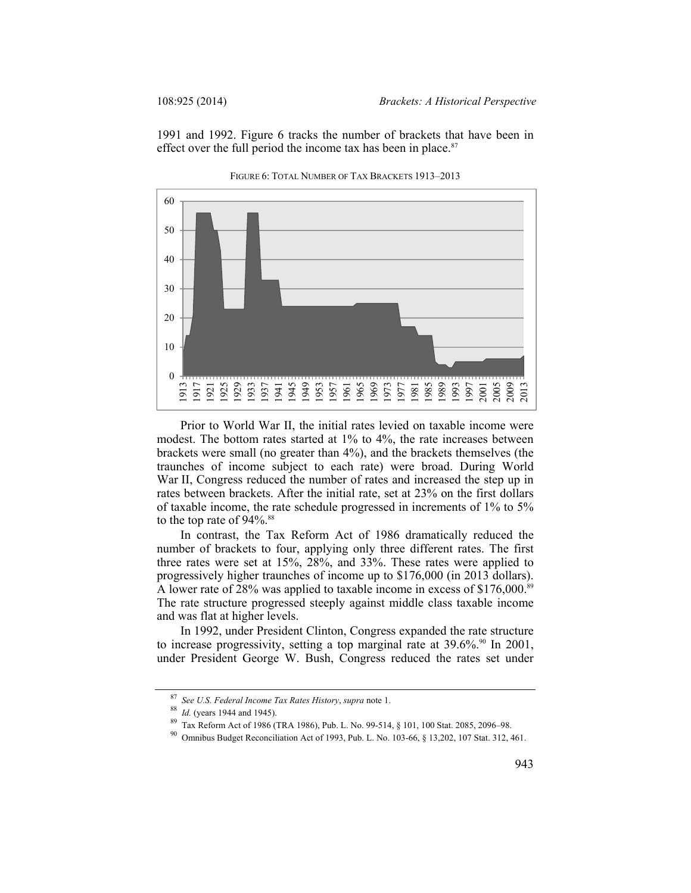1991 and 1992. Figure 6 tracks the number of brackets that have been in effect over the full period the income tax has been in place. $87$ 



FIGURE 6: TOTAL NUMBER OF TAX BRACKETS 1913–2013

Prior to World War II, the initial rates levied on taxable income were modest. The bottom rates started at 1% to 4%, the rate increases between brackets were small (no greater than 4%), and the brackets themselves (the traunches of income subject to each rate) were broad. During World War II, Congress reduced the number of rates and increased the step up in rates between brackets. After the initial rate, set at 23% on the first dollars of taxable income, the rate schedule progressed in increments of 1% to 5% to the top rate of 94%.<sup>88</sup>

In contrast, the Tax Reform Act of 1986 dramatically reduced the number of brackets to four, applying only three different rates. The first three rates were set at 15%, 28%, and 33%. These rates were applied to progressively higher traunches of income up to \$176,000 (in 2013 dollars). A lower rate of 28% was applied to taxable income in excess of \$176,000.<sup>89</sup> The rate structure progressed steeply against middle class taxable income and was flat at higher levels.

In 1992, under President Clinton, Congress expanded the rate structure to increase progressivity, setting a top marginal rate at  $39.6\%$ .<sup>90</sup> In 2001, under President George W. Bush, Congress reduced the rates set under

<sup>&</sup>lt;sup>87</sup> *See U.S. Federal Income Tax Rates History, supra* note 1.<br><sup>88</sup> *Id.* (years 1944 and 1945).<br><sup>89</sup> Tax Reform Act of 1986 (TRA 1986), Pub. L. No. 99-514, § 101, 100 Stat. 2085, 2096–98.<br><sup>90</sup> Omnibus Budget Reconciliat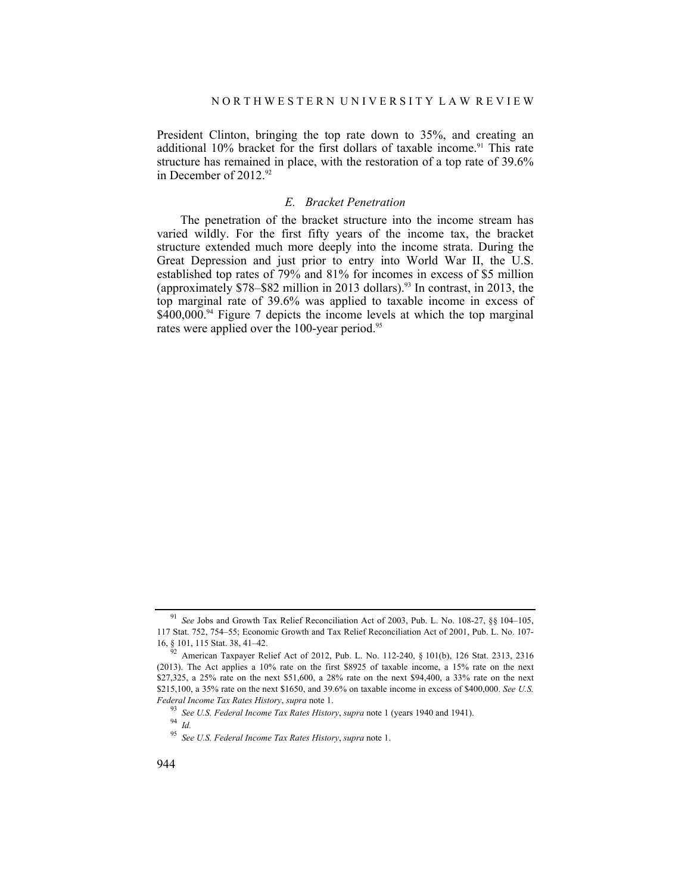President Clinton, bringing the top rate down to 35%, and creating an additional 10% bracket for the first dollars of taxable income.<sup>91</sup> This rate structure has remained in place, with the restoration of a top rate of 39.6% in December of  $2012.^{92}$ 

#### *E. Bracket Penetration*

The penetration of the bracket structure into the income stream has varied wildly. For the first fifty years of the income tax, the bracket structure extended much more deeply into the income strata. During the Great Depression and just prior to entry into World War II, the U.S. established top rates of 79% and 81% for incomes in excess of \$5 million (approximately  $$78–$82$  million in 2013 dollars).<sup>93</sup> In contrast, in 2013, the top marginal rate of 39.6% was applied to taxable income in excess of  $$400,000$ .<sup>94</sup> Figure 7 depicts the income levels at which the top marginal rates were applied over the 100-year period.<sup>95</sup>

<sup>91</sup> *See* Jobs and Growth Tax Relief Reconciliation Act of 2003, Pub. L. No. 108-27, §§ 104–105, 117 Stat. 752, 754–55; Economic Growth and Tax Relief Reconciliation Act of 2001, Pub. L. No. 107- 16, § 101, 115 Stat. 38, 41–42.

 $\frac{92}{92}$  American Taxpayer Relief Act of 2012, Pub. L. No. 112-240, § 101(b), 126 Stat. 2313, 2316 (2013). The Act applies a 10% rate on the first \$8925 of taxable income, a 15% rate on the next \$27,325, a 25% rate on the next \$51,600, a 28% rate on the next \$94,400, a 33% rate on the next \$215,100, a 35% rate on the next \$1650, and 39.6% on taxable income in excess of \$400,000. *See U.S. Federal Income Tax Rates History*, *supra* note 1.

<sup>93</sup> *See U.S. Federal Income Tax Rates History*, *supra* note 1 (years 1940 and 1941). 94 *Id.*

<sup>95</sup> *See U.S. Federal Income Tax Rates History*, *supra* note 1.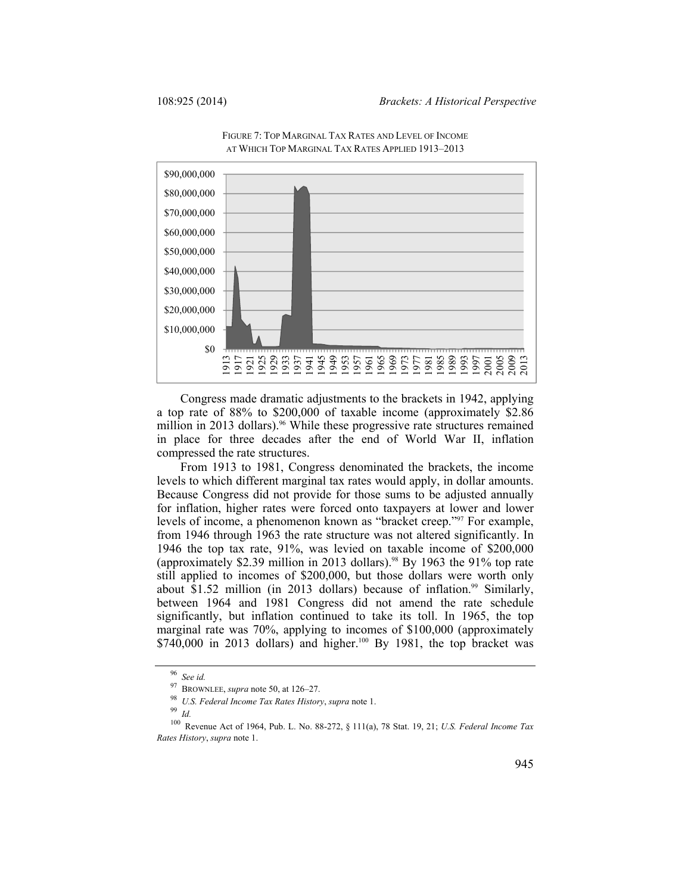

FIGURE 7: TOP MARGINAL TAX RATES AND LEVEL OF INCOME AT WHICH TOP MARGINAL TAX RATES APPLIED 1913–2013

Congress made dramatic adjustments to the brackets in 1942, applying a top rate of 88% to \$200,000 of taxable income (approximately \$2.86 million in 2013 dollars).<sup>96</sup> While these progressive rate structures remained in place for three decades after the end of World War II, inflation compressed the rate structures.

From 1913 to 1981, Congress denominated the brackets, the income levels to which different marginal tax rates would apply, in dollar amounts. Because Congress did not provide for those sums to be adjusted annually for inflation, higher rates were forced onto taxpayers at lower and lower levels of income, a phenomenon known as "bracket creep."97 For example, from 1946 through 1963 the rate structure was not altered significantly. In 1946 the top tax rate, 91%, was levied on taxable income of \$200,000 (approximately \$2.39 million in 2013 dollars).<sup>98</sup> By 1963 the 91% top rate still applied to incomes of \$200,000, but those dollars were worth only about  $$1.52$  million (in 2013 dollars) because of inflation.<sup>99</sup> Similarly, between 1964 and 1981 Congress did not amend the rate schedule significantly, but inflation continued to take its toll. In 1965, the top marginal rate was 70%, applying to incomes of \$100,000 (approximately  $$740,000$  in 2013 dollars) and higher.<sup>100</sup> By 1981, the top bracket was

<sup>&</sup>lt;sup>96</sup> *See id.* **BROWNLEE**, *supra* note 50, at 126–27.

<sup>97</sup> BROWNLEE, *supra* note 50, at 126–27. 98 *U.S. Federal Income Tax Rates History*, *supra* note 1. 99 *Id.*

<sup>100</sup> Revenue Act of 1964, Pub. L. No. 88-272, § 111(a), 78 Stat. 19, 21; *U.S. Federal Income Tax Rates History*, *supra* note 1.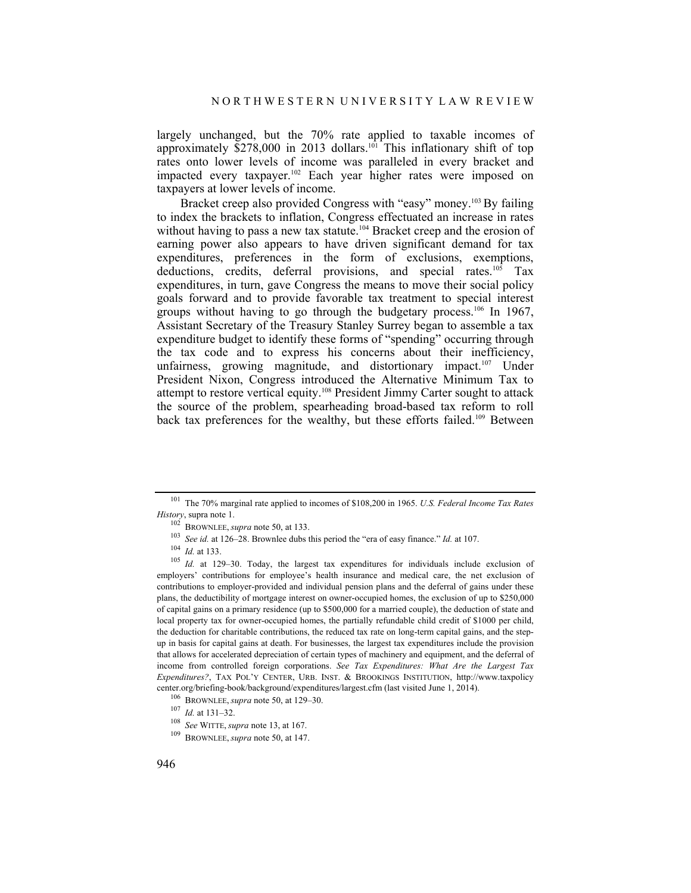largely unchanged, but the 70% rate applied to taxable incomes of approximately  $$278,000$  in 2013 dollars.<sup>101</sup> This inflationary shift of top rates onto lower levels of income was paralleled in every bracket and impacted every taxpayer.102 Each year higher rates were imposed on taxpayers at lower levels of income.

Bracket creep also provided Congress with "easy" money.<sup>103</sup> By failing to index the brackets to inflation, Congress effectuated an increase in rates without having to pass a new tax statute.<sup>104</sup> Bracket creep and the erosion of earning power also appears to have driven significant demand for tax expenditures, preferences in the form of exclusions, exemptions, deductions, credits, deferral provisions, and special rates.<sup>105</sup> Tax expenditures, in turn, gave Congress the means to move their social policy goals forward and to provide favorable tax treatment to special interest groups without having to go through the budgetary process.<sup>106</sup> In 1967, Assistant Secretary of the Treasury Stanley Surrey began to assemble a tax expenditure budget to identify these forms of "spending" occurring through the tax code and to express his concerns about their inefficiency, unfairness, growing magnitude, and distortionary impact.<sup>107</sup> Under President Nixon, Congress introduced the Alternative Minimum Tax to attempt to restore vertical equity.108 President Jimmy Carter sought to attack the source of the problem, spearheading broad-based tax reform to roll back tax preferences for the wealthy, but these efforts failed.<sup>109</sup> Between

<sup>101</sup> The 70% marginal rate applied to incomes of \$108,200 in 1965. *U.S. Federal Income Tax Rates History*, supra note 1.<br><sup>102</sup> BROWNLEE, *supra* note 50, at 133.<br><sup>103</sup> *See id.* at 126–28. Brownlee dubs this period the "era of easy finance." Id. at 107.

<sup>&</sup>lt;sup>104</sup> *Id.* at 133. *Id.* at 129–30. Today, the largest tax expenditures for individuals include exclusion of  $Id$ . at 129–30. Today, the largest tax expenditures for individuals include exclusion of employers' contributions for employee's health insurance and medical care, the net exclusion of contributions to employer-provided and individual pension plans and the deferral of gains under these plans, the deductibility of mortgage interest on owner-occupied homes, the exclusion of up to \$250,000 of capital gains on a primary residence (up to \$500,000 for a married couple), the deduction of state and local property tax for owner-occupied homes, the partially refundable child credit of \$1000 per child, the deduction for charitable contributions, the reduced tax rate on long-term capital gains, and the stepup in basis for capital gains at death. For businesses, the largest tax expenditures include the provision that allows for accelerated depreciation of certain types of machinery and equipment, and the deferral of income from controlled foreign corporations. *See Tax Expenditures: What Are the Largest Tax Expenditures?*, TAX POL'Y CENTER, URB. INST. & BROOKINGS INSTITUTION, http://www.taxpolicy center.org/briefing-book/background/expenditures/largest.cfm (last visited June 1, 2014).<br>
<sup>106</sup> BROWNLEE, *supra* note 50, at 129–30.<br>
<sup>107</sup> Id. at 131–32.<br>
<sup>108</sup> See WITTE, *supra* note 13, at 167.<br>
<sup>109</sup> BROWNLEE, *sup*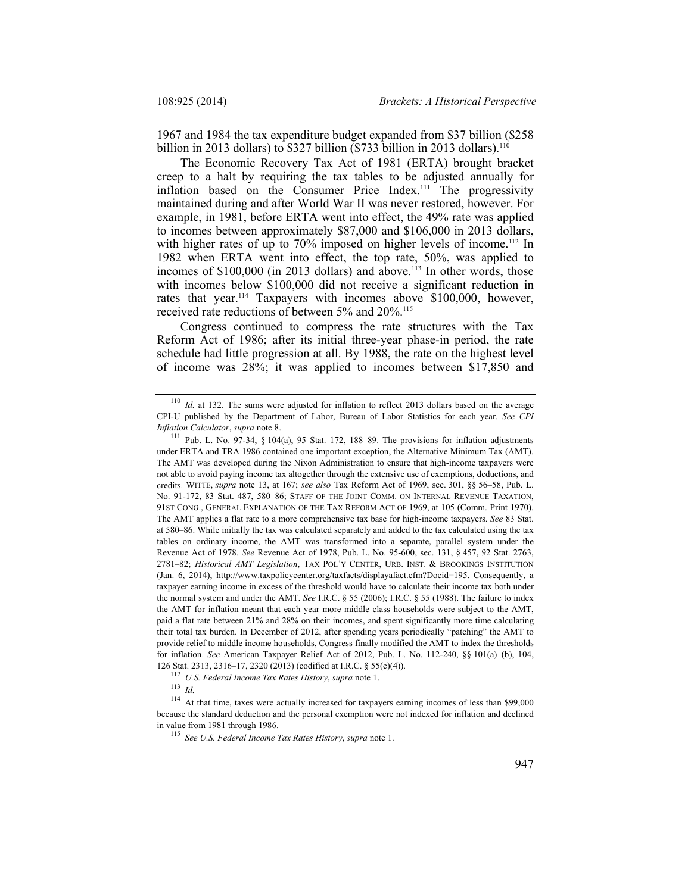1967 and 1984 the tax expenditure budget expanded from \$37 billion (\$258 billion in 2013 dollars) to \$327 billion (\$733 billion in 2013 dollars).<sup>110</sup>

The Economic Recovery Tax Act of 1981 (ERTA) brought bracket creep to a halt by requiring the tax tables to be adjusted annually for inflation based on the Consumer Price Index.<sup>111</sup> The progressivity maintained during and after World War II was never restored, however. For example, in 1981, before ERTA went into effect, the 49% rate was applied to incomes between approximately \$87,000 and \$106,000 in 2013 dollars, with higher rates of up to 70% imposed on higher levels of income.<sup>112</sup> In 1982 when ERTA went into effect, the top rate, 50%, was applied to incomes of \$100,000 (in 2013 dollars) and above.<sup>113</sup> In other words, those with incomes below \$100,000 did not receive a significant reduction in rates that year.<sup>114</sup> Taxpayers with incomes above \$100,000, however, received rate reductions of between 5% and 20%.<sup>115</sup>

Congress continued to compress the rate structures with the Tax Reform Act of 1986; after its initial three-year phase-in period, the rate schedule had little progression at all. By 1988, the rate on the highest level of income was 28%; it was applied to incomes between \$17,850 and

<sup>&</sup>lt;sup>110</sup> *Id.* at 132. The sums were adjusted for inflation to reflect 2013 dollars based on the average CPI-U published by the Department of Labor, Bureau of Labor Statistics for each year. *See CPI Inflation Calculator*, *supra* note 8.<br><sup>111</sup> Pub. L. No. 97-34, § 104(a), 95 Stat. 172, 188–89. The provisions for inflation adjustments

under ERTA and TRA 1986 contained one important exception, the Alternative Minimum Tax (AMT). The AMT was developed during the Nixon Administration to ensure that high-income taxpayers were not able to avoid paying income tax altogether through the extensive use of exemptions, deductions, and credits. WITTE, *supra* note 13, at 167; *see also* Tax Reform Act of 1969, sec. 301, §§ 56–58, Pub. L. No. 91-172, 83 Stat. 487, 580–86; STAFF OF THE JOINT COMM. ON INTERNAL REVENUE TAXATION, 91ST CONG., GENERAL EXPLANATION OF THE TAX REFORM ACT OF 1969, at 105 (Comm. Print 1970). The AMT applies a flat rate to a more comprehensive tax base for high-income taxpayers. *See* 83 Stat. at 580–86. While initially the tax was calculated separately and added to the tax calculated using the tax tables on ordinary income, the AMT was transformed into a separate, parallel system under the Revenue Act of 1978. *See* Revenue Act of 1978, Pub. L. No. 95-600, sec. 131, § 457, 92 Stat. 2763, 2781–82; *Historical AMT Legislation*, TAX POL'Y CENTER, URB. INST. & BROOKINGS INSTITUTION (Jan. 6, 2014), http://www.taxpolicycenter.org/taxfacts/displayafact.cfm?Docid=195. Consequently, a taxpayer earning income in excess of the threshold would have to calculate their income tax both under the normal system and under the AMT. *See* I.R.C. § 55 (2006); I.R.C. § 55 (1988). The failure to index the AMT for inflation meant that each year more middle class households were subject to the AMT, paid a flat rate between 21% and 28% on their incomes, and spent significantly more time calculating their total tax burden. In December of 2012, after spending years periodically "patching" the AMT to provide relief to middle income households, Congress finally modified the AMT to index the thresholds for inflation. *See* American Taxpayer Relief Act of 2012, Pub. L. No. 112-240, §§ 101(a)–(b), 104, 126 Stat. 2313, 2316–17, 2320 (2013) (codified at I.R.C. § 55(c)(4)).

<sup>112</sup> *U.S. Federal Income Tax Rates History*, *supra* note 1. 113 *Id.*

<sup>&</sup>lt;sup>114</sup> At that time, taxes were actually increased for taxpayers earning incomes of less than \$99,000 because the standard deduction and the personal exemption were not indexed for inflation and declined in value from 1981 through 1986. 115 *See U.S. Federal Income Tax Rates History*, *supra* note 1.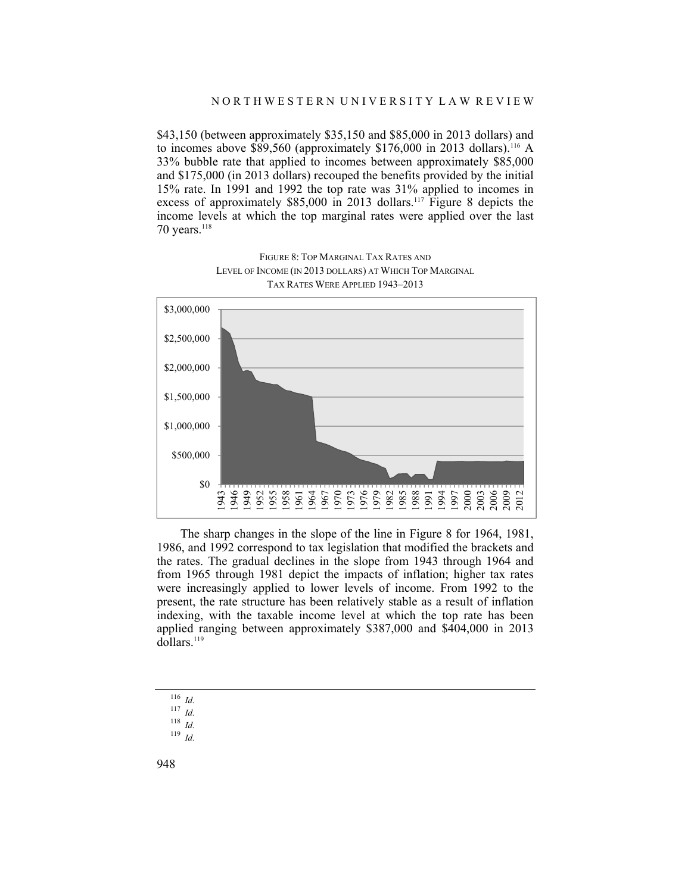\$43,150 (between approximately \$35,150 and \$85,000 in 2013 dollars) and to incomes above \$89,560 (approximately \$176,000 in 2013 dollars).<sup>116</sup> A 33% bubble rate that applied to incomes between approximately \$85,000 and \$175,000 (in 2013 dollars) recouped the benefits provided by the initial 15% rate. In 1991 and 1992 the top rate was 31% applied to incomes in excess of approximately \$85,000 in 2013 dollars.<sup>117</sup> Figure 8 depicts the income levels at which the top marginal rates were applied over the last 70 years. $118$ 



FIGURE 8: TOP MARGINAL TAX RATES AND LEVEL OF INCOME (IN 2013 DOLLARS) AT WHICH TOP MARGINAL TAX RATES WERE APPLIED 1943–2013

The sharp changes in the slope of the line in Figure 8 for 1964, 1981, 1986, and 1992 correspond to tax legislation that modified the brackets and the rates. The gradual declines in the slope from 1943 through 1964 and from 1965 through 1981 depict the impacts of inflation; higher tax rates were increasingly applied to lower levels of income. From 1992 to the present, the rate structure has been relatively stable as a result of inflation indexing, with the taxable income level at which the top rate has been applied ranging between approximately \$387,000 and \$404,000 in 2013 dollars.<sup>119</sup>

<sup>116</sup> *Id.*

<sup>117</sup> *Id.*

<sup>118</sup> *Id.*

<sup>119</sup> *Id.*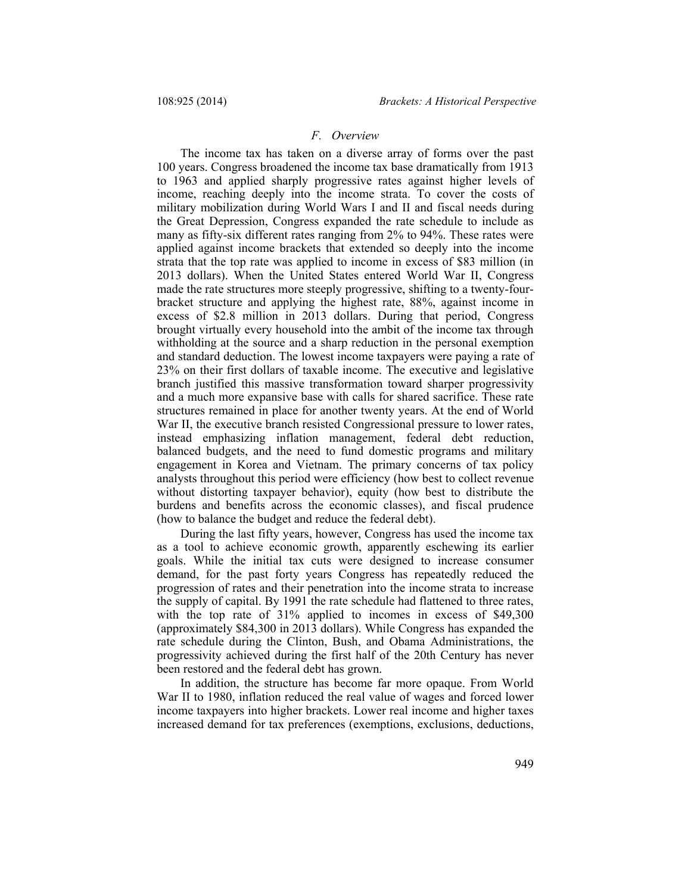### *F. Overview*

The income tax has taken on a diverse array of forms over the past 100 years. Congress broadened the income tax base dramatically from 1913 to 1963 and applied sharply progressive rates against higher levels of income, reaching deeply into the income strata. To cover the costs of military mobilization during World Wars I and II and fiscal needs during the Great Depression, Congress expanded the rate schedule to include as many as fifty-six different rates ranging from 2% to 94%. These rates were applied against income brackets that extended so deeply into the income strata that the top rate was applied to income in excess of \$83 million (in 2013 dollars). When the United States entered World War II, Congress made the rate structures more steeply progressive, shifting to a twenty-fourbracket structure and applying the highest rate, 88%, against income in excess of \$2.8 million in 2013 dollars. During that period, Congress brought virtually every household into the ambit of the income tax through withholding at the source and a sharp reduction in the personal exemption and standard deduction. The lowest income taxpayers were paying a rate of 23% on their first dollars of taxable income. The executive and legislative branch justified this massive transformation toward sharper progressivity and a much more expansive base with calls for shared sacrifice. These rate structures remained in place for another twenty years. At the end of World War II, the executive branch resisted Congressional pressure to lower rates, instead emphasizing inflation management, federal debt reduction, balanced budgets, and the need to fund domestic programs and military engagement in Korea and Vietnam. The primary concerns of tax policy analysts throughout this period were efficiency (how best to collect revenue without distorting taxpayer behavior), equity (how best to distribute the burdens and benefits across the economic classes), and fiscal prudence (how to balance the budget and reduce the federal debt).

During the last fifty years, however, Congress has used the income tax as a tool to achieve economic growth, apparently eschewing its earlier goals. While the initial tax cuts were designed to increase consumer demand, for the past forty years Congress has repeatedly reduced the progression of rates and their penetration into the income strata to increase the supply of capital. By 1991 the rate schedule had flattened to three rates, with the top rate of 31% applied to incomes in excess of \$49,300 (approximately \$84,300 in 2013 dollars). While Congress has expanded the rate schedule during the Clinton, Bush, and Obama Administrations, the progressivity achieved during the first half of the 20th Century has never been restored and the federal debt has grown.

In addition, the structure has become far more opaque. From World War II to 1980, inflation reduced the real value of wages and forced lower income taxpayers into higher brackets. Lower real income and higher taxes increased demand for tax preferences (exemptions, exclusions, deductions,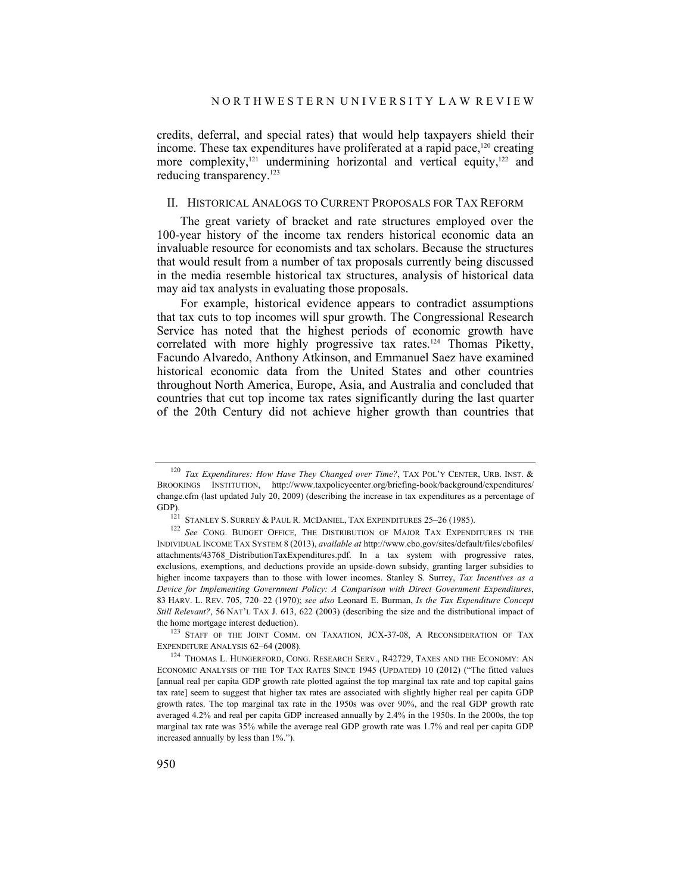credits, deferral, and special rates) that would help taxpayers shield their income. These tax expenditures have proliferated at a rapid pace, $120$  creating more complexity,<sup>121</sup> undermining horizontal and vertical equity,<sup>122</sup> and reducing transparency.<sup>123</sup>

# II. HISTORICAL ANALOGS TO CURRENT PROPOSALS FOR TAX REFORM

The great variety of bracket and rate structures employed over the 100-year history of the income tax renders historical economic data an invaluable resource for economists and tax scholars. Because the structures that would result from a number of tax proposals currently being discussed in the media resemble historical tax structures, analysis of historical data may aid tax analysts in evaluating those proposals.

For example, historical evidence appears to contradict assumptions that tax cuts to top incomes will spur growth. The Congressional Research Service has noted that the highest periods of economic growth have correlated with more highly progressive tax rates.<sup>124</sup> Thomas Piketty, Facundo Alvaredo, Anthony Atkinson, and Emmanuel Saez have examined historical economic data from the United States and other countries throughout North America, Europe, Asia, and Australia and concluded that countries that cut top income tax rates significantly during the last quarter of the 20th Century did not achieve higher growth than countries that

<sup>120</sup> *Tax Expenditures: How Have They Changed over Time?*, TAX POL'Y CENTER, URB. INST. & BROOKINGS INSTITUTION, http://www.taxpolicycenter.org/briefing-book/background/expenditures/ change.cfm (last updated July 20, 2009) (describing the increase in tax expenditures as a percentage of GDP).<br><sup>121</sup> STANLEY S. SURREY & PAUL R. MCDANIEL, TAX EXPENDITURES 25-26 (1985).

<sup>&</sup>lt;sup>122</sup> See CONG. BUDGET OFFICE, THE DISTRIBUTION OF MAJOR TAX EXPENDITURES IN THE INDIVIDUAL INCOME TAX SYSTEM 8 (2013), *available at* http://www.cbo.gov/sites/default/files/cbofiles/ attachments/43768\_DistributionTaxExpenditures.pdf. In a tax system with progressive rates, exclusions, exemptions, and deductions provide an upside-down subsidy, granting larger subsidies to higher income taxpayers than to those with lower incomes. Stanley S. Surrey, *Tax Incentives as a Device for Implementing Government Policy: A Comparison with Direct Government Expenditures*, 83 HARV. L. REV. 705, 720–22 (1970); *see also* Leonard E. Burman, *Is the Tax Expenditure Concept Still Relevant?*, 56 NAT'L TAX J. 613, 622 (2003) (describing the size and the distributional impact of the home mortgage interest deduction).<br><sup>123</sup> STAFF OF THE JOINT COMM. ON TAXATION, JCX-37-08, A RECONSIDERATION OF TAX

EXPENDITURE ANALYSIS 62–64 (2008). 124 THOMAS L. HUNGERFORD, CONG. RESEARCH SERV., R42729, TAXES AND THE ECONOMY: AN

ECONOMIC ANALYSIS OF THE TOP TAX RATES SINCE 1945 (UPDATED) 10 (2012) ("The fitted values [annual real per capita GDP growth rate plotted against the top marginal tax rate and top capital gains tax rate] seem to suggest that higher tax rates are associated with slightly higher real per capita GDP growth rates. The top marginal tax rate in the 1950s was over 90%, and the real GDP growth rate averaged 4.2% and real per capita GDP increased annually by 2.4% in the 1950s. In the 2000s, the top marginal tax rate was 35% while the average real GDP growth rate was 1.7% and real per capita GDP increased annually by less than 1%.").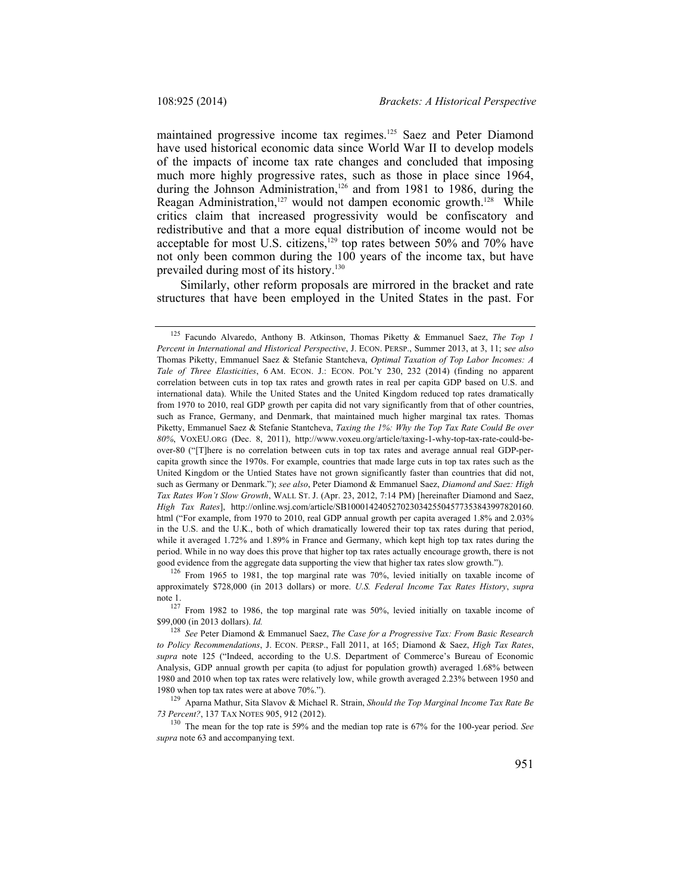maintained progressive income tax regimes.125 Saez and Peter Diamond have used historical economic data since World War II to develop models of the impacts of income tax rate changes and concluded that imposing much more highly progressive rates, such as those in place since 1964, during the Johnson Administration,<sup>126</sup> and from 1981 to 1986, during the Reagan Administration,<sup>127</sup> would not dampen economic growth.<sup>128</sup> While critics claim that increased progressivity would be confiscatory and redistributive and that a more equal distribution of income would not be acceptable for most U.S. citizens,<sup>129</sup> top rates between 50% and 70% have not only been common during the 100 years of the income tax, but have prevailed during most of its history.130

Similarly, other reform proposals are mirrored in the bracket and rate structures that have been employed in the United States in the past. For

 $126$  From 1965 to 1981, the top marginal rate was 70%, levied initially on taxable income of approximately \$728,000 (in 2013 dollars) or more. *U.S. Federal Income Tax Rates History*, *supra* 

note 1.<br><sup>127</sup> From 1982 to 1986, the top marginal rate was 50%, levied initially on taxable income of \$99,000 (in 2013 dollars). *Id.*

*73 Percent?*, 137 TAX NOTES 905, 912 (2012).

<sup>130</sup> The mean for the top rate is 59% and the median top rate is 67% for the 100-year period. *See supra* note 63 and accompanying text.

<sup>125</sup> Facundo Alvaredo, Anthony B. Atkinson, Thomas Piketty & Emmanuel Saez, *The Top 1 Percent in International and Historical Perspective*, J. ECON. PERSP., Summer 2013, at 3, 11; s*ee also* Thomas Piketty, Emmanuel Saez & Stefanie Stantcheva, *Optimal Taxation of Top Labor Incomes: A Tale of Three Elasticities*, 6 AM. ECON. J.: ECON. POL'Y 230, 232 (2014) (finding no apparent correlation between cuts in top tax rates and growth rates in real per capita GDP based on U.S. and international data). While the United States and the United Kingdom reduced top rates dramatically from 1970 to 2010, real GDP growth per capita did not vary significantly from that of other countries, such as France, Germany, and Denmark, that maintained much higher marginal tax rates. Thomas Piketty, Emmanuel Saez & Stefanie Stantcheva, *Taxing the 1%: Why the Top Tax Rate Could Be over 80%*, VOXEU.ORG (Dec. 8, 2011), http://www.voxeu.org/article/taxing-1-why-top-tax-rate-could-beover-80 ("[T]here is no correlation between cuts in top tax rates and average annual real GDP-percapita growth since the 1970s. For example, countries that made large cuts in top tax rates such as the United Kingdom or the Untied States have not grown significantly faster than countries that did not, such as Germany or Denmark."); *see also*, Peter Diamond & Emmanuel Saez, *Diamond and Saez: High Tax Rates Won't Slow Growth*, WALL ST. J. (Apr. 23, 2012, 7:14 PM) [hereinafter Diamond and Saez, *High Tax Rates*], http://online.wsj.com/article/SB10001424052702303425504577353843997820160. html ("For example, from 1970 to 2010, real GDP annual growth per capita averaged 1.8% and 2.03% in the U.S. and the U.K., both of which dramatically lowered their top tax rates during that period, while it averaged 1.72% and 1.89% in France and Germany, which kept high top tax rates during the period. While in no way does this prove that higher top tax rates actually encourage growth, there is not good evidence from the aggregate data supporting the view that higher tax rates slow growth.").

<sup>128</sup> *See* Peter Diamond & Emmanuel Saez, *The Case for a Progressive Tax: From Basic Research to Policy Recommendations*, J. ECON. PERSP., Fall 2011, at 165; Diamond & Saez, *High Tax Rates*, *supra* note 125 ("Indeed, according to the U.S. Department of Commerce's Bureau of Economic Analysis, GDP annual growth per capita (to adjust for population growth) averaged 1.68% between 1980 and 2010 when top tax rates were relatively low, while growth averaged 2.23% between 1950 and 1980 when top tax rates were at above 70%."). 129 Aparna Mathur, Sita Slavov & Michael R. Strain, *Should the Top Marginal Income Tax Rate Be*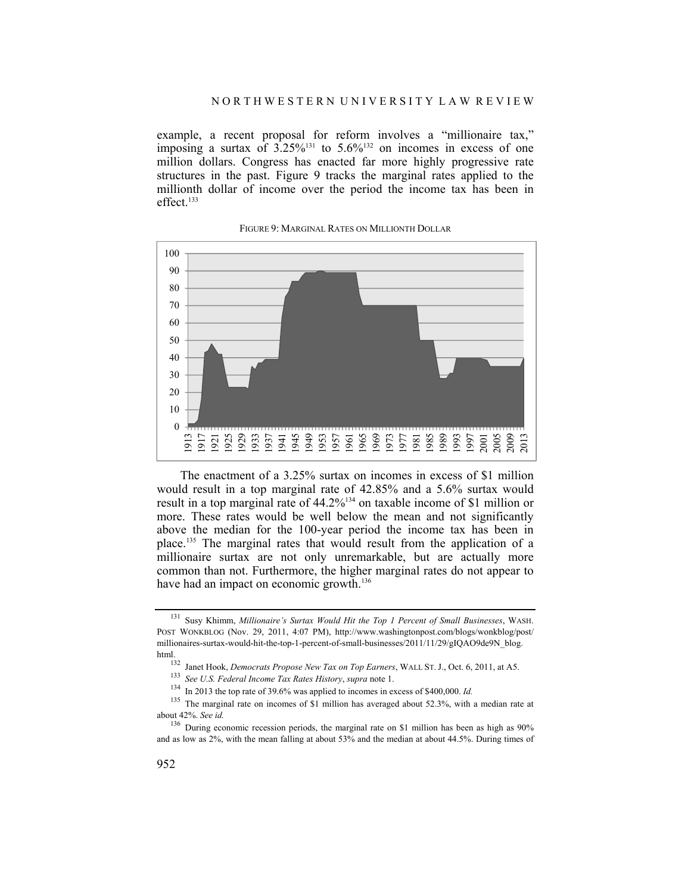example, a recent proposal for reform involves a "millionaire tax," imposing a surtax of  $3.25\%^{131}$  to  $5.6\%^{132}$  on incomes in excess of one million dollars. Congress has enacted far more highly progressive rate structures in the past. Figure 9 tracks the marginal rates applied to the millionth dollar of income over the period the income tax has been in effect.<sup>133</sup>



#### FIGURE 9: MARGINAL RATES ON MILLIONTH DOLLAR

The enactment of a 3.25% surtax on incomes in excess of \$1 million would result in a top marginal rate of 42.85% and a 5.6% surtax would result in a top marginal rate of 44.2%134 on taxable income of \$1 million or more. These rates would be well below the mean and not significantly above the median for the 100-year period the income tax has been in place.135 The marginal rates that would result from the application of a millionaire surtax are not only unremarkable, but are actually more common than not. Furthermore, the higher marginal rates do not appear to have had an impact on economic growth.<sup>136</sup>

<sup>131</sup> Susy Khimm, *Millionaire's Surtax Would Hit the Top 1 Percent of Small Businesses*, WASH. POST WONKBLOG (Nov. 29, 2011, 4:07 PM), http://www.washingtonpost.com/blogs/wonkblog/post/ millionaires-surtax-would-hit-the-top-1-percent-of-small-businesses/2011/11/29/gIQAO9de9N\_blog. html.<br><sup>132</sup> Janet Hook, *Democrats Propose New Tax on Top Earners*, WALL ST. J., Oct. 6, 2011, at A5.<br><sup>133</sup> See U.S. Federal Income Tax Rates History, supra note 1.

<sup>&</sup>lt;sup>134</sup> In 2013 the top rate of 39.6% was applied to incomes in excess of \$400,000. *Id.* 

<sup>&</sup>lt;sup>135</sup> The marginal rate on incomes of \$1 million has averaged about 52.3%, with a median rate at about 42%. *See id.* 

<sup>&</sup>lt;sup>136</sup> During economic recession periods, the marginal rate on \$1 million has been as high as 90% and as low as 2%, with the mean falling at about 53% and the median at about 44.5%. During times of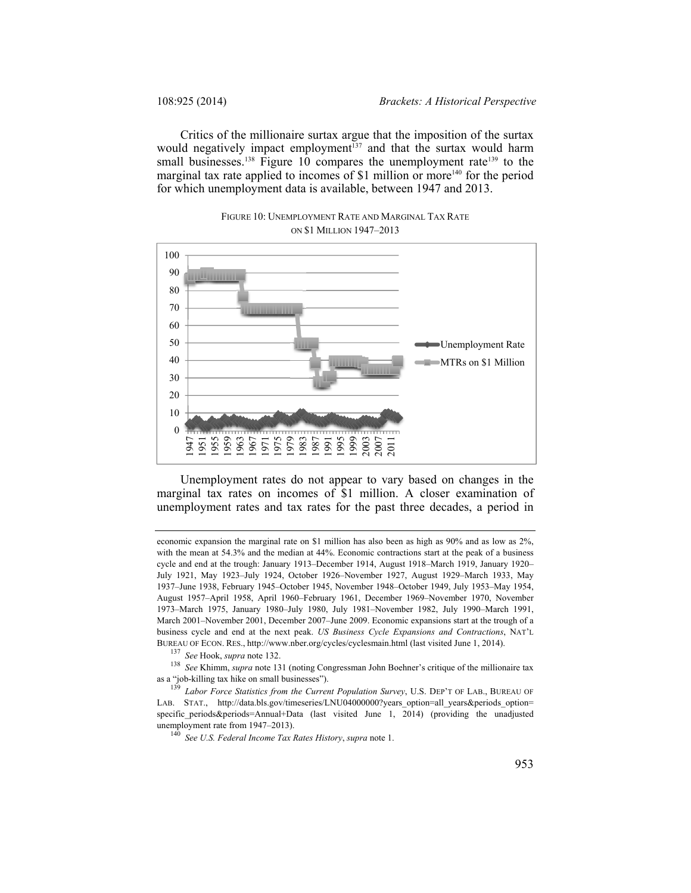Critics of the millionaire surtax argue that the imposition of the surtax would negatively impact employment<sup>137</sup> and that the surtax would harm small businesses.<sup>138</sup> Figure 10 compares the unemployment rate<sup>139</sup> to the marginal tax rate applied to incomes of \$1 million or more<sup>140</sup> for the period for which unemployment data is available, between 1947 and 2013.



FIGURE 10: UNEMPLOYMENT RATE AND MARGINAL TAX RATE ON \$1 MILLION 1947–2013

Unemployment rates do not appear to vary based on changes in the marginal tax rates on incomes of \$1 million. A closer examination of unemployment rates and tax rates for the past three decades, a period in

<sup>138</sup> *See* Khimm, *supra* note 131 (noting Congressman John Boehner's critique of the millionaire tax as a "job-killing tax hike on small businesses"). 139 *Labor Force Statistics from the Current Population Survey*, U.S. DEP'T OF LAB., BUREAU OF

LAB. STAT., http://data.bls.gov/timeseries/LNU04000000?years\_option=all\_years&periods\_option= specific\_periods&periods=Annual+Data (last visited June 1, 2014) (providing the unadjusted unemployment rate from 1947–2013). 140 *See U.S. Federal Income Tax Rates History*, *supra* note 1.

economic expansion the marginal rate on \$1 million has also been as high as 90% and as low as 2%, with the mean at 54.3% and the median at 44%. Economic contractions start at the peak of a business cycle and end at the trough: January 1913–December 1914, August 1918–March 1919, January 1920– July 1921, May 1923–July 1924, October 1926–November 1927, August 1929–March 1933, May 1937–June 1938, February 1945–October 1945, November 1948–October 1949, July 1953–May 1954, August 1957–April 1958, April 1960–February 1961, December 1969–November 1970, November 1973–March 1975, January 1980–July 1980, July 1981–November 1982, July 1990–March 1991, March 2001–November 2001, December 2007–June 2009. Economic expansions start at the trough of a business cycle and end at the next peak. *US Business Cycle Expansions and Contractions*, NAT'L BUREAU OF ECON. RES., http://www.nber.org/cycles/cyclesmain.html (last visited June 1, 2014). 137 *See* Hook, *supra* note 132.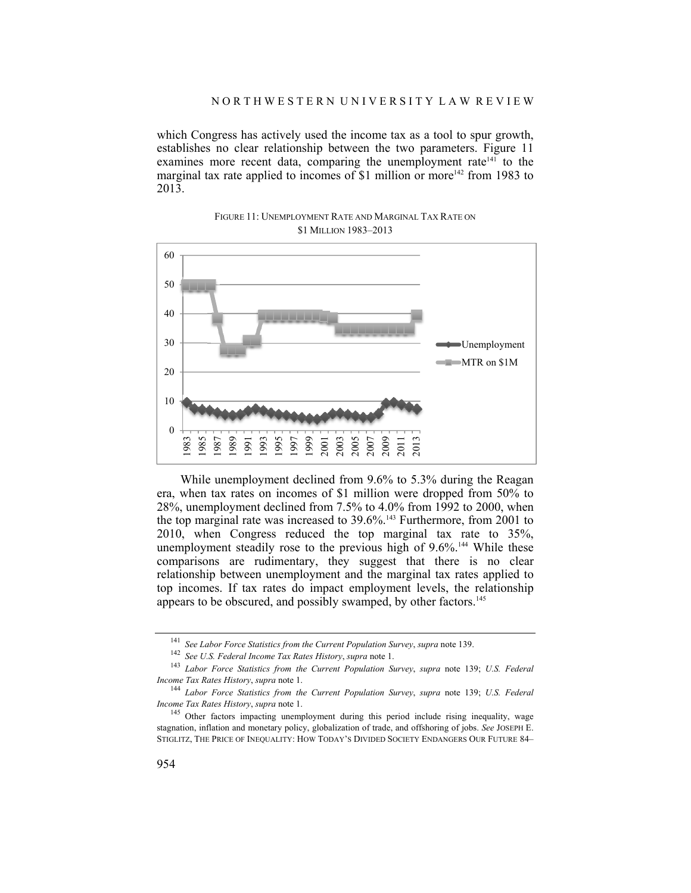which Congress has actively used the income tax as a tool to spur growth, establishes no clear relationship between the two parameters. Figure 11 examines more recent data, comparing the unemployment rate<sup>141</sup> to the marginal tax rate applied to incomes of \$1 million or more<sup>142</sup> from 1983 to 2013.



FIGURE 11: UNEMPLOYMENT RATE AND MARGINAL TAX RATE ON \$1 MILLION 1983–2013

While unemployment declined from 9.6% to 5.3% during the Reagan era, when tax rates on incomes of \$1 million were dropped from 50% to 28%, unemployment declined from 7.5% to 4.0% from 1992 to 2000, when the top marginal rate was increased to 39.6%.143 Furthermore, from 2001 to 2010, when Congress reduced the top marginal tax rate to 35%, unemployment steadily rose to the previous high of  $9.6\%$ <sup>144</sup> While these comparisons are rudimentary, they suggest that there is no clear relationship between unemployment and the marginal tax rates applied to top incomes. If tax rates do impact employment levels, the relationship appears to be obscured, and possibly swamped, by other factors.<sup>145</sup>

<sup>&</sup>lt;sup>141</sup> See Labor Force Statistics from the Current Population Survey, supra note 139.<br><sup>142</sup> See U.S. Federal Income Tax Rates History, supra note 1.<br><sup>143</sup> Labor Force Statistics from the Current Population Survey, supra no

*Income Tax Rates History, supra* note 1.<br><sup>144</sup> *Labor Force Statistics from the Current Population Survey, supra* note 139; *U.S. Federal Income Tax Rates History, supra* note 1.

<sup>&</sup>lt;sup>145</sup> Other factors impacting unemployment during this period include rising inequality, wage stagnation, inflation and monetary policy, globalization of trade, and offshoring of jobs. *See* JOSEPH E. STIGLITZ, THE PRICE OF INEQUALITY: HOW TODAY'S DIVIDED SOCIETY ENDANGERS OUR FUTURE 84–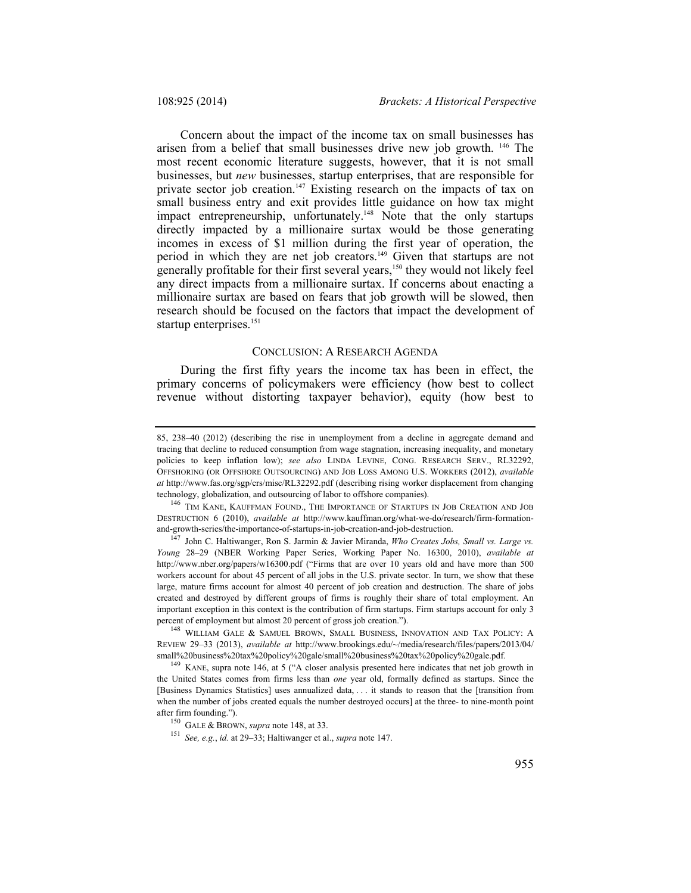Concern about the impact of the income tax on small businesses has arisen from a belief that small businesses drive new job growth. 146 The most recent economic literature suggests, however, that it is not small businesses, but *new* businesses, startup enterprises, that are responsible for private sector job creation.<sup>147</sup> Existing research on the impacts of tax on small business entry and exit provides little guidance on how tax might impact entrepreneurship, unfortunately.<sup>148</sup> Note that the only startups directly impacted by a millionaire surtax would be those generating incomes in excess of \$1 million during the first year of operation, the period in which they are net job creators.<sup>149</sup> Given that startups are not generally profitable for their first several years,150 they would not likely feel any direct impacts from a millionaire surtax. If concerns about enacting a millionaire surtax are based on fears that job growth will be slowed, then research should be focused on the factors that impact the development of startup enterprises.<sup>151</sup>

### CONCLUSION: A RESEARCH AGENDA

During the first fifty years the income tax has been in effect, the primary concerns of policymakers were efficiency (how best to collect revenue without distorting taxpayer behavior), equity (how best to

<sup>85, 238–40</sup> (2012) (describing the rise in unemployment from a decline in aggregate demand and tracing that decline to reduced consumption from wage stagnation, increasing inequality, and monetary policies to keep inflation low); *see also* LINDA LEVINE, CONG. RESEARCH SERV., RL32292, OFFSHORING (OR OFFSHORE OUTSOURCING) AND JOB LOSS AMONG U.S. WORKERS (2012), *available at* http://www.fas.org/sgp/crs/misc/RL32292.pdf (describing rising worker displacement from changing technology, globalization, and outsourcing of labor to offshore companies).

<sup>146</sup> TIM KANE, KAUFFMAN FOUND., THE IMPORTANCE OF STARTUPS IN JOB CREATION AND JOB DESTRUCTION 6 (2010), *available at* http://www.kauffman.org/what-we-do/research/firm-formation-

<sup>&</sup>lt;sup>147</sup> John C. Haltiwanger, Ron S. Jarmin & Javier Miranda, *Who Creates Jobs, Small vs. Large vs. Young* 28–29 (NBER Working Paper Series, Working Paper No. 16300, 2010), *available at*  http://www.nber.org/papers/w16300.pdf ("Firms that are over 10 years old and have more than 500 workers account for about 45 percent of all jobs in the U.S. private sector. In turn, we show that these large, mature firms account for almost 40 percent of job creation and destruction. The share of jobs created and destroyed by different groups of firms is roughly their share of total employment. An important exception in this context is the contribution of firm startups. Firm startups account for only 3 percent of employment but almost 20 percent of gross job creation.").

<sup>&</sup>lt;sup>148</sup> WILLIAM GALE & SAMUEL BROWN, SMALL BUSINESS, INNOVATION AND TAX POLICY: A REVIEW 29–33 (2013), *available at* http://www.brookings.edu/~/media/research/files/papers/2013/04/ small%20business%20tax%20policy%20gale/small%20business%20tax%20policy%20gale.pdf. 149 KANE, supra note 146, at 5 ("A closer analysis presented here indicates that net job growth in

the United States comes from firms less than *one* year old, formally defined as startups. Since the [Business Dynamics Statistics] uses annualized data, . . . it stands to reason that the [transition from when the number of jobs created equals the number destroyed occurs] at the three- to nine-month point after firm founding."). 150 GALE & BROWN, *supra* note 148, at 33. 151 *See, e.g.*, *id.* at 29–33; Haltiwanger et al., *supra* note 147.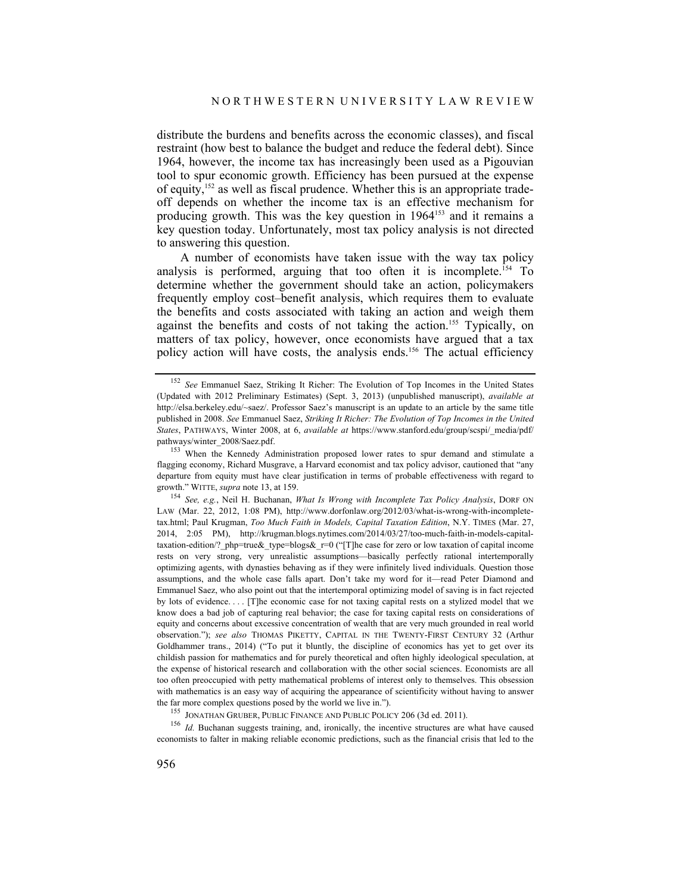distribute the burdens and benefits across the economic classes), and fiscal restraint (how best to balance the budget and reduce the federal debt). Since 1964, however, the income tax has increasingly been used as a Pigouvian tool to spur economic growth. Efficiency has been pursued at the expense of equity,152 as well as fiscal prudence. Whether this is an appropriate tradeoff depends on whether the income tax is an effective mechanism for producing growth. This was the key question in 1964<sup>153</sup> and it remains a key question today. Unfortunately, most tax policy analysis is not directed to answering this question.

A number of economists have taken issue with the way tax policy analysis is performed, arguing that too often it is incomplete.154 To determine whether the government should take an action, policymakers frequently employ cost–benefit analysis, which requires them to evaluate the benefits and costs associated with taking an action and weigh them against the benefits and costs of not taking the action.<sup>155</sup> Typically, on matters of tax policy, however, once economists have argued that a tax policy action will have costs, the analysis ends.<sup>156</sup> The actual efficiency

<sup>152</sup> *See* Emmanuel Saez, Striking It Richer: The Evolution of Top Incomes in the United States (Updated with 2012 Preliminary Estimates) (Sept. 3, 2013) (unpublished manuscript), *available at* http://elsa.berkeley.edu/~saez/. Professor Saez's manuscript is an update to an article by the same title published in 2008. *See* Emmanuel Saez, *Striking It Richer: The Evolution of Top Incomes in the United States*, PATHWAYS, Winter 2008, at 6, *available at* https://www.stanford.edu/group/scspi/\_media/pdf/ pathways/winter\_2008/Saez.pdf.

<sup>&</sup>lt;sup>153</sup> When the Kennedy Administration proposed lower rates to spur demand and stimulate a flagging economy, Richard Musgrave, a Harvard economist and tax policy advisor, cautioned that "any departure from equity must have clear justification in terms of probable effectiveness with regard to growth." WITTE, *supra* note 13, at 159.<br><sup>154</sup> *See, e.g.*, Neil H. Buchanan, *What Is Wrong with Incomplete Tax Policy Analysis*, DORF ON

LAW (Mar. 22, 2012, 1:08 PM), http://www.dorfonlaw.org/2012/03/what-is-wrong-with-incompletetax.html; Paul Krugman, *Too Much Faith in Models, Capital Taxation Edition*, N.Y. TIMES (Mar. 27, 2014, 2:05 PM), http://krugman.blogs.nytimes.com/2014/03/27/too-much-faith-in-models-capitaltaxation-edition/? php=true & type=blogs  $\&$  r=0 ("[T]he case for zero or low taxation of capital income rests on very strong, very unrealistic assumptions—basically perfectly rational intertemporally optimizing agents, with dynasties behaving as if they were infinitely lived individuals. Question those assumptions, and the whole case falls apart. Don't take my word for it—read Peter Diamond and Emmanuel Saez, who also point out that the intertemporal optimizing model of saving is in fact rejected by lots of evidence. . . . [T]he economic case for not taxing capital rests on a stylized model that we know does a bad job of capturing real behavior; the case for taxing capital rests on considerations of equity and concerns about excessive concentration of wealth that are very much grounded in real world observation."); *see also* THOMAS PIKETTY, CAPITAL IN THE TWENTY-FIRST CENTURY 32 (Arthur Goldhammer trans., 2014) ("To put it bluntly, the discipline of economics has yet to get over its childish passion for mathematics and for purely theoretical and often highly ideological speculation, at the expense of historical research and collaboration with the other social sciences. Economists are all too often preoccupied with petty mathematical problems of interest only to themselves. This obsession with mathematics is an easy way of acquiring the appearance of scientificity without having to answer

the far more complex questions posed by the world we live in.").<br><sup>155</sup> JONATHAN GRUBER, PUBLIC FINANCE AND PUBLIC POLICY 206 (3d ed. 2011).<br><sup>156</sup> *Id.* Buchanan suggests training, and, ironically, the incentive structures economists to falter in making reliable economic predictions, such as the financial crisis that led to the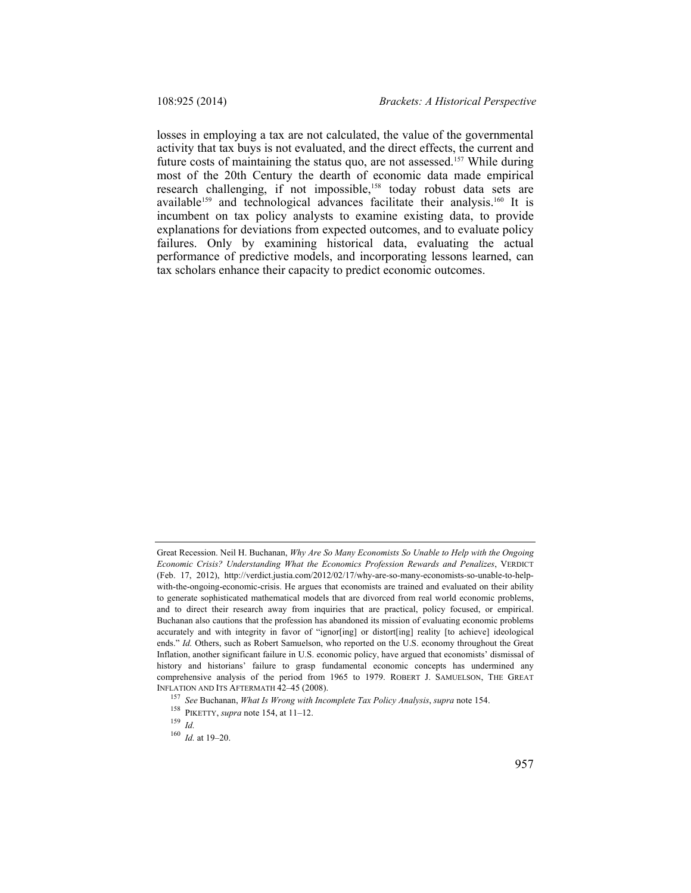losses in employing a tax are not calculated, the value of the governmental activity that tax buys is not evaluated, and the direct effects, the current and future costs of maintaining the status quo, are not assessed.<sup>157</sup> While during most of the 20th Century the dearth of economic data made empirical research challenging, if not impossible,<sup>158</sup> today robust data sets are available<sup>159</sup> and technological advances facilitate their analysis.<sup>160</sup> It is incumbent on tax policy analysts to examine existing data, to provide explanations for deviations from expected outcomes, and to evaluate policy failures. Only by examining historical data, evaluating the actual performance of predictive models, and incorporating lessons learned, can tax scholars enhance their capacity to predict economic outcomes.

Great Recession. Neil H. Buchanan, *Why Are So Many Economists So Unable to Help with the Ongoing Economic Crisis? Understanding What the Economics Profession Rewards and Penalizes*, VERDICT (Feb. 17, 2012), http://verdict.justia.com/2012/02/17/why-are-so-many-economists-so-unable-to-helpwith-the-ongoing-economic-crisis. He argues that economists are trained and evaluated on their ability to generate sophisticated mathematical models that are divorced from real world economic problems, and to direct their research away from inquiries that are practical, policy focused, or empirical. Buchanan also cautions that the profession has abandoned its mission of evaluating economic problems accurately and with integrity in favor of "ignor[ing] or distort[ing] reality [to achieve] ideological ends." *Id.* Others, such as Robert Samuelson, who reported on the U.S. economy throughout the Great Inflation, another significant failure in U.S. economic policy, have argued that economists' dismissal of history and historians' failure to grasp fundamental economic concepts has undermined any comprehensive analysis of the period from 1965 to 1979. ROBERT J. SAMUELSON, THE GREAT INFLATION AND ITS AFTERMATH 42–45 (2008).

<sup>157</sup> *See* Buchanan, *What Is Wrong with Incomplete Tax Policy Analysis*, *supra* note 154. 158 PIKETTY, *supra* note 154, at 11–12. 159 *Id.*

<sup>160</sup> *Id.* at 19–20.